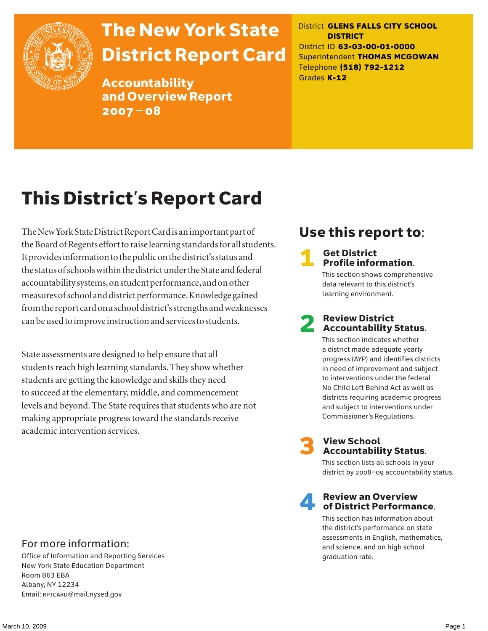

# The New York State District Report Card

Accountability and Overview Report 2007–08

District **GLENS FALLS CITY SCHOOL DISTRICT** District ID **63-03-00-01-0000** Superintendent **THOMAS MCGOWAN** Telephone **(518) 792-1212** Grades **K-12**

# This District's Report Card

The New York State District Report Card is an important part of the Board of Regents effort to raise learning standards for all students. It provides information to the public on the district's status and the status of schools within the district under the State and federal accountability systems, on student performance, and on other measures of school and district performance. Knowledge gained from the report card on a school district's strengths and weaknesses can be used to improve instruction and services to students.

State assessments are designed to help ensure that all students reach high learning standards. They show whether students are getting the knowledge and skills they need to succeed at the elementary, middle, and commencement levels and beyond. The State requires that students who are not making appropriate progress toward the standards receive academic intervention services.

## Use this report to:

#### **Get District** Profile information.

This section shows comprehensive data relevant to this district's learning environment.

#### **Review District** Accountability Status.

This section indicates whether a district made adequate yearly progress (AYP) and identifies districts in need of improvement and subject to interventions under the federal No Child Left Behind Act as well as districts requiring academic progress and subject to interventions under Commissioner's Regulations.



# **3** View School<br>Accountability Status.

This section lists all schools in your district by 2008–09 accountability status.

#### **Review an Overview** of District Performance.

This section has information about the district's performance on state assessments in English, mathematics, and science, and on high school graduation rate.

#### For more information:

Office of Information and Reporting Services New York State Education Department Room 863 EBA Albany, NY 12234 Email: RPTCARD@mail.nysed.gov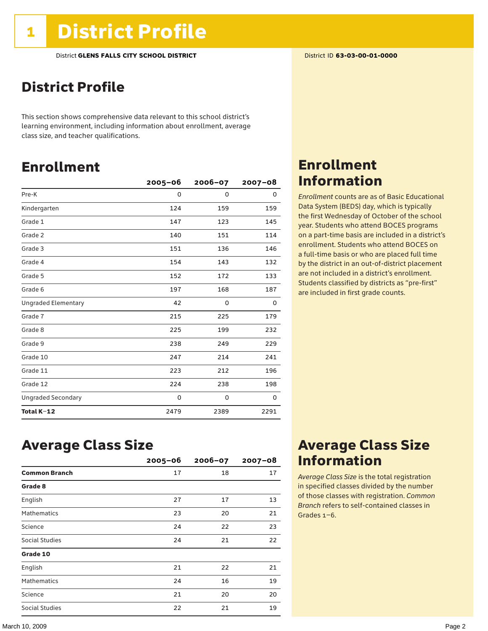### District Profile

This section shows comprehensive data relevant to this school district's learning environment, including information about enrollment, average class size, and teacher qualifications.

### Enrollment

|                            | $2005 - 06$ | $2006 - 07$ | $2007 - 08$ |
|----------------------------|-------------|-------------|-------------|
| Pre-K                      | $\Omega$    | 0           | 0           |
| Kindergarten               | 124         | 159         | 159         |
| Grade 1                    | 147         | 123         | 145         |
| Grade 2                    | 140         | 151         | 114         |
| Grade 3                    | 151         | 136         | 146         |
| Grade 4                    | 154         | 143         | 132         |
| Grade 5                    | 152         | 172         | 133         |
| Grade 6                    | 197         | 168         | 187         |
| <b>Ungraded Elementary</b> | 42          | 0           | 0           |
| Grade 7                    | 215         | 225         | 179         |
| Grade 8                    | 225         | 199         | 232         |
| Grade 9                    | 238         | 249         | 229         |
| Grade 10                   | 247         | 214         | 241         |
| Grade 11                   | 223         | 212         | 196         |
| Grade 12                   | 224         | 238         | 198         |
| <b>Ungraded Secondary</b>  | 0           | 0           | 0           |
| Total K-12                 | 2479        | 2389        | 2291        |

### Enrollment Information

*Enrollment* counts are as of Basic Educational Data System (BEDS) day, which is typically the first Wednesday of October of the school year. Students who attend BOCES programs on a part-time basis are included in a district's enrollment. Students who attend BOCES on a full-time basis or who are placed full time by the district in an out-of-district placement are not included in a district's enrollment. Students classified by districts as "pre-first" are included in first grade counts.

### Average Class Size

|                      | $2005 - 06$ | $2006 - 07$ | $2007 - 08$ |
|----------------------|-------------|-------------|-------------|
| <b>Common Branch</b> | 17          | 18          | 17          |
| Grade 8              |             |             |             |
| English              | 27          | 17          | 13          |
| <b>Mathematics</b>   | 23          | 20          | 21          |
| Science              | 24          | 22          | 23          |
| Social Studies       | 24          | 21          | 22          |
| Grade 10             |             |             |             |
| English              | 21          | 22          | 21          |
| <b>Mathematics</b>   | 24          | 16          | 19          |
| Science              | 21          | 20          | 20          |
| Social Studies       | 22          | 21          | 19          |

### Average Class Size Information

*Average Class Size* is the total registration in specified classes divided by the number of those classes with registration. *Common Branch* refers to self-contained classes in Grades 1–6.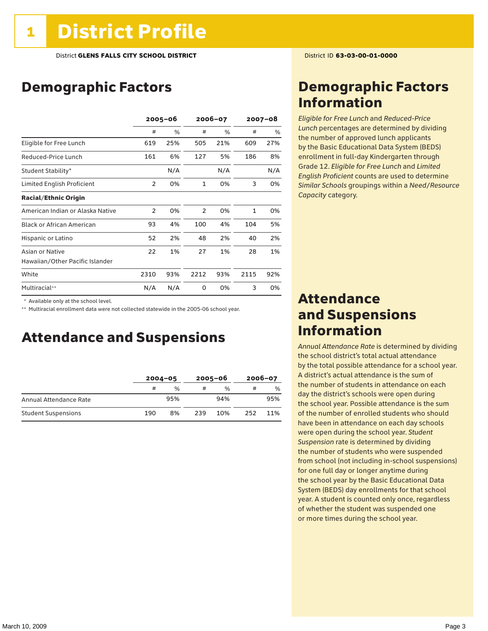### Demographic Factors

|                                  | $2005 - 06$    |     | 2006-07        |     | $2007 - 08$  |     |
|----------------------------------|----------------|-----|----------------|-----|--------------|-----|
|                                  | #              | %   | #              | %   | #            | %   |
| Eligible for Free Lunch          | 619            | 25% | 505            | 21% | 609          | 27% |
| Reduced-Price Lunch              | 161            | 6%  | 127            | 5%  | 186          | 8%  |
| Student Stability*               |                | N/A |                | N/A |              | N/A |
| Limited English Proficient       | $\overline{2}$ | 0%  | $\mathbf{1}$   | 0%  | 3            | 0%  |
| <b>Racial/Ethnic Origin</b>      |                |     |                |     |              |     |
| American Indian or Alaska Native | $\overline{2}$ | 0%  | $\overline{2}$ | 0%  | $\mathbf{1}$ | 0%  |
| <b>Black or African American</b> | 93             | 4%  | 100            | 4%  | 104          | 5%  |
| Hispanic or Latino               | 52             | 2%  | 48             | 2%  | 40           | 2%  |
| Asian or Native                  | 22             | 1%  | 27             | 1%  | 28           | 1%  |
| Hawaiian/Other Pacific Islander  |                |     |                |     |              |     |
| White                            | 2310           | 93% | 2212           | 93% | 2115         | 92% |
| Multiracial**                    | N/A            | N/A | 0              | 0%  | 3            | 0%  |

\* Available only at the school level.

\*\* Multiracial enrollment data were not collected statewide in the 2005-06 school year.

#### Attendance and Suspensions

|                            | $2004 - 05$ |               | $2005 - 06$ |               | $2006 - 07$ |     |
|----------------------------|-------------|---------------|-------------|---------------|-------------|-----|
|                            | #           | $\frac{0}{6}$ | #           | $\frac{0}{6}$ | #           | %   |
| Annual Attendance Rate     |             | 95%           |             | 94%           |             | 95% |
| <b>Student Suspensions</b> | 190         | 8%            | 239         | 10%           | 252         | 11% |

### Demographic Factors Information

*Eligible for Free Lunch* and *Reduced*-*Price Lunch* percentages are determined by dividing the number of approved lunch applicants by the Basic Educational Data System (BEDS) enrollment in full-day Kindergarten through Grade 12. *Eligible for Free Lunch* and *Limited English Proficient* counts are used to determine *Similar Schools* groupings within a *Need*/*Resource Capacity* category.

### Attendance and Suspensions Information

*Annual Attendance Rate* is determined by dividing the school district's total actual attendance by the total possible attendance for a school year. A district's actual attendance is the sum of the number of students in attendance on each day the district's schools were open during the school year. Possible attendance is the sum of the number of enrolled students who should have been in attendance on each day schools were open during the school year. *Student Suspension* rate is determined by dividing the number of students who were suspended from school (not including in-school suspensions) for one full day or longer anytime during the school year by the Basic Educational Data System (BEDS) day enrollments for that school year. A student is counted only once, regardless of whether the student was suspended one or more times during the school year.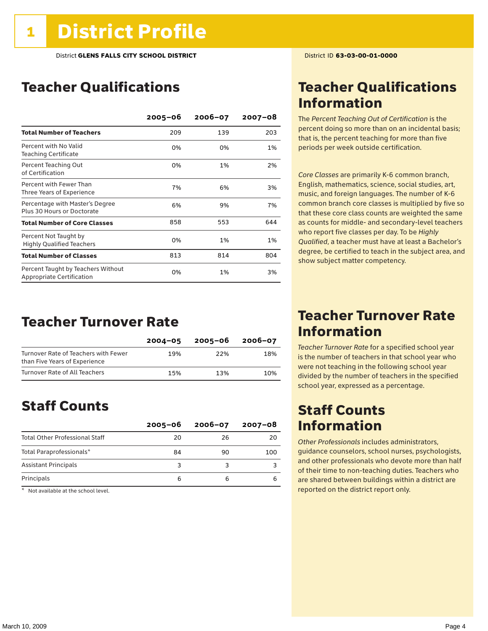### Teacher Qualifications

|                                                                 | $2005 - 06$ | $2006 - 07$ | $2007 - 08$ |
|-----------------------------------------------------------------|-------------|-------------|-------------|
| <b>Total Number of Teachers</b>                                 | 209         | 139         | 203         |
| Percent with No Valid<br><b>Teaching Certificate</b>            | 0%          | 0%          | 1%          |
| Percent Teaching Out<br>of Certification                        | 0%          | 1%          | 2%          |
| Percent with Fewer Than<br>Three Years of Experience            | 7%          | 6%          | 3%          |
| Percentage with Master's Degree<br>Plus 30 Hours or Doctorate   | 6%          | 9%          | 7%          |
| <b>Total Number of Core Classes</b>                             | 858         | 553         | 644         |
| Percent Not Taught by<br><b>Highly Qualified Teachers</b>       | 0%          | 1%          | 1%          |
| <b>Total Number of Classes</b>                                  | 813         | 814         | 804         |
| Percent Taught by Teachers Without<br>Appropriate Certification | 0%          | 1%          | 3%          |

### Teacher Turnover Rate

|                                                                       | $2004 - 05$ | 2005-06 | 2006-07 |
|-----------------------------------------------------------------------|-------------|---------|---------|
| Turnover Rate of Teachers with Fewer<br>than Five Years of Experience | 19%         | 22%     | 18%     |
| Turnover Rate of All Teachers                                         | 15%         | 13%     | 10%     |

### Staff Counts

|                                       | $2005 - 06$ | $2006 - 07$ | $2007 - 08$ |
|---------------------------------------|-------------|-------------|-------------|
| <b>Total Other Professional Staff</b> | 20          | 26          | 20          |
| Total Paraprofessionals*              | 84          | 90          | 100         |
| <b>Assistant Principals</b>           |             |             |             |
| Principals                            |             | 6           |             |

 $*$  Not available at the school level.

### Teacher Qualifications Information

The *Percent Teaching Out of Certification* is the percent doing so more than on an incidental basis; that is, the percent teaching for more than five periods per week outside certification.

*Core Classes* are primarily K-6 common branch, English, mathematics, science, social studies, art, music, and foreign languages. The number of K-6 common branch core classes is multiplied by five so that these core class counts are weighted the same as counts for middle- and secondary-level teachers who report five classes per day. To be *Highly Qualified*, a teacher must have at least a Bachelor's degree, be certified to teach in the subject area, and show subject matter competency.

### Teacher Turnover Rate Information

*Teacher Turnover Rate* for a specified school year is the number of teachers in that school year who were not teaching in the following school year divided by the number of teachers in the specified school year, expressed as a percentage.

### Staff Counts Information

*Other Professionals* includes administrators, guidance counselors, school nurses, psychologists, and other professionals who devote more than half of their time to non-teaching duties. Teachers who are shared between buildings within a district are reported on the district report only.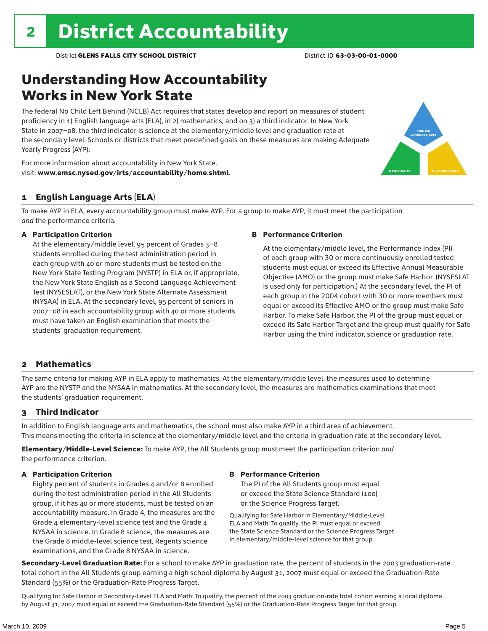### Understanding How Accountability Works in New York State

The federal No Child Left Behind (NCLB) Act requires that states develop and report on measures of student proficiency in 1) English language arts (ELA), in 2) mathematics, and on 3) a third indicator. In New York State in 2007–08, the third indicator is science at the elementary/middle level and graduation rate at the secondary level. Schools or districts that meet predefined goals on these measures are making Adequate Yearly Progress (AYP).



For more information about accountability in New York State, visit: www.emsc.nysed.gov/irts/accountability/home.shtml.

#### 1 English Language Arts (ELA)

To make AYP in ELA, every accountability group must make AYP. For a group to make AYP, it must meet the participation *and* the performance criteria.

#### A Participation Criterion

At the elementary/middle level, 95 percent of Grades 3–8 students enrolled during the test administration period in each group with 40 or more students must be tested on the New York State Testing Program (NYSTP) in ELA or, if appropriate, the New York State English as a Second Language Achievement Test (NYSESLAT), or the New York State Alternate Assessment (NYSAA) in ELA. At the secondary level, 95 percent of seniors in 2007–08 in each accountability group with 40 or more students must have taken an English examination that meets the students' graduation requirement.

#### B Performance Criterion

At the elementary/middle level, the Performance Index (PI) of each group with 30 or more continuously enrolled tested students must equal or exceed its Effective Annual Measurable Objective (AMO) or the group must make Safe Harbor. (NYSESLAT is used only for participation.) At the secondary level, the PI of each group in the 2004 cohort with 30 or more members must equal or exceed its Effective AMO or the group must make Safe Harbor. To make Safe Harbor, the PI of the group must equal or exceed its Safe Harbor Target and the group must qualify for Safe Harbor using the third indicator, science or graduation rate.

#### 2 Mathematics

The same criteria for making AYP in ELA apply to mathematics. At the elementary/middle level, the measures used to determine AYP are the NYSTP and the NYSAA in mathematics. At the secondary level, the measures are mathematics examinations that meet the students' graduation requirement.

#### 3 Third Indicator

In addition to English language arts and mathematics, the school must also make AYP in a third area of achievement. This means meeting the criteria in science at the elementary/middle level and the criteria in graduation rate at the secondary level.

Elementary/Middle-Level Science: To make AYP, the All Students group must meet the participation criterion *and* the performance criterion.

#### A Participation Criterion

Eighty percent of students in Grades 4 and/or 8 enrolled during the test administration period in the All Students group, if it has 40 or more students, must be tested on an accountability measure. In Grade 4, the measures are the Grade 4 elementary-level science test and the Grade 4 NYSAA in science. In Grade 8 science, the measures are the Grade 8 middle-level science test, Regents science examinations, and the Grade 8 NYSAA in science.

#### B Performance Criterion

The PI of the All Students group must equal or exceed the State Science Standard (100) or the Science Progress Target.

Qualifying for Safe Harbor in Elementary/Middle-Level ELA and Math: To qualify, the PI must equal or exceed the State Science Standard or the Science Progress Target in elementary/middle-level science for that group.

Secondary-Level Graduation Rate: For a school to make AYP in graduation rate, the percent of students in the 2003 graduation-rate total cohort in the All Students group earning a high school diploma by August 31, 2007 must equal or exceed the Graduation-Rate Standard (55%) or the Graduation-Rate Progress Target.

Qualifying for Safe Harbor in Secondary-Level ELA and Math: To qualify, the percent of the 2003 graduation-rate total cohort earning a local diploma by August 31, 2007 must equal or exceed the Graduation-Rate Standard (55%) or the Graduation-Rate Progress Target for that group.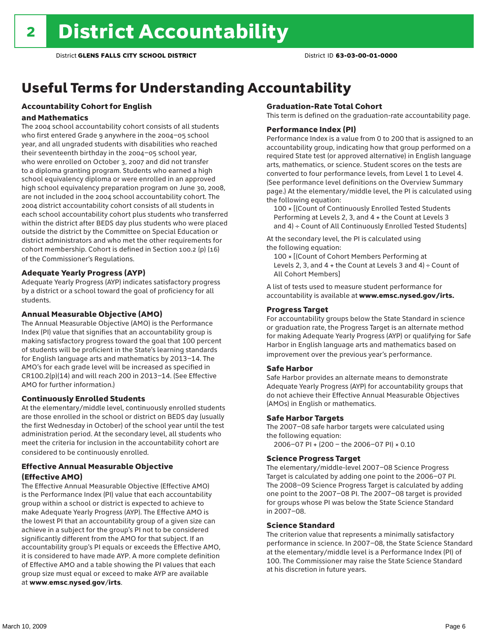## Useful Terms for Understanding Accountability

### Accountability Cohort for English

#### and Mathematics

The 2004 school accountability cohort consists of all students who first entered Grade 9 anywhere in the 2004–05 school year, and all ungraded students with disabilities who reached their seventeenth birthday in the 2004–05 school year, who were enrolled on October 3, 2007 and did not transfer to a diploma granting program. Students who earned a high school equivalency diploma or were enrolled in an approved high school equivalency preparation program on June 30, 2008, are not included in the 2004 school accountability cohort. The 2004 district accountability cohort consists of all students in each school accountability cohort plus students who transferred within the district after BEDS day plus students who were placed outside the district by the Committee on Special Education or district administrators and who met the other requirements for cohort membership. Cohort is defined in Section 100.2 (p) (16) of the Commissioner's Regulations.

#### Adequate Yearly Progress (AYP)

Adequate Yearly Progress (AYP) indicates satisfactory progress by a district or a school toward the goal of proficiency for all students.

#### Annual Measurable Objective (AMO)

The Annual Measurable Objective (AMO) is the Performance Index (PI) value that signifies that an accountability group is making satisfactory progress toward the goal that 100 percent of students will be proficient in the State's learning standards for English language arts and mathematics by 2013–14. The AMO's for each grade level will be increased as specified in CR100.2(p)(14) and will reach 200 in 2013–14. (See Effective AMO for further information.)

#### Continuously Enrolled Students

At the elementary/middle level, continuously enrolled students are those enrolled in the school or district on BEDS day (usually the first Wednesday in October) of the school year until the test administration period. At the secondary level, all students who meet the criteria for inclusion in the accountability cohort are considered to be continuously enrolled.

#### Effective Annual Measurable Objective (Effective AMO)

The Effective Annual Measurable Objective (Effective AMO) is the Performance Index (PI) value that each accountability group within a school or district is expected to achieve to make Adequate Yearly Progress (AYP). The Effective AMO is the lowest PI that an accountability group of a given size can achieve in a subject for the group's PI not to be considered significantly different from the AMO for that subject. If an accountability group's PI equals or exceeds the Effective AMO, it is considered to have made AYP. A more complete definition of Effective AMO and a table showing the PI values that each group size must equal or exceed to make AYP are available at www.emsc.nysed.gov/irts.

#### Graduation-Rate Total Cohort

This term is defined on the graduation-rate accountability page.

#### Performance Index (PI)

Performance Index is a value from 0 to 200 that is assigned to an accountability group, indicating how that group performed on a required State test (or approved alternative) in English language arts, mathematics, or science. Student scores on the tests are converted to four performance levels, from Level 1 to Level 4. (See performance level definitions on the Overview Summary page.) At the elementary/middle level, the PI is calculated using the following equation:

100 × [(Count of Continuously Enrolled Tested Students Performing at Levels 2, 3, and 4 + the Count at Levels 3 and 4) ÷ Count of All Continuously Enrolled Tested Students]

At the secondary level, the PI is calculated using the following equation:

100 × [(Count of Cohort Members Performing at Levels 2, 3, and  $4 +$  the Count at Levels 3 and  $4) \div$  Count of All Cohort Members]

A list of tests used to measure student performance for accountability is available at www.emsc.nysed.gov/irts.

#### Progress Target

For accountability groups below the State Standard in science or graduation rate, the Progress Target is an alternate method for making Adequate Yearly Progress (AYP) or qualifying for Safe Harbor in English language arts and mathematics based on improvement over the previous year's performance.

#### Safe Harbor

Safe Harbor provides an alternate means to demonstrate Adequate Yearly Progress (AYP) for accountability groups that do not achieve their Effective Annual Measurable Objectives (AMOs) in English or mathematics.

#### Safe Harbor Targets

The 2007–08 safe harbor targets were calculated using the following equation:

2006–07 PI + (200 – the 2006–07 PI) × 0.10

#### Science Progress Target

The elementary/middle-level 2007–08 Science Progress Target is calculated by adding one point to the 2006–07 PI. The 2008–09 Science Progress Target is calculated by adding one point to the 2007–08 PI. The 2007–08 target is provided for groups whose PI was below the State Science Standard in 2007–08.

#### Science Standard

The criterion value that represents a minimally satisfactory performance in science. In 2007–08, the State Science Standard at the elementary/middle level is a Performance Index (PI) of 100. The Commissioner may raise the State Science Standard at his discretion in future years.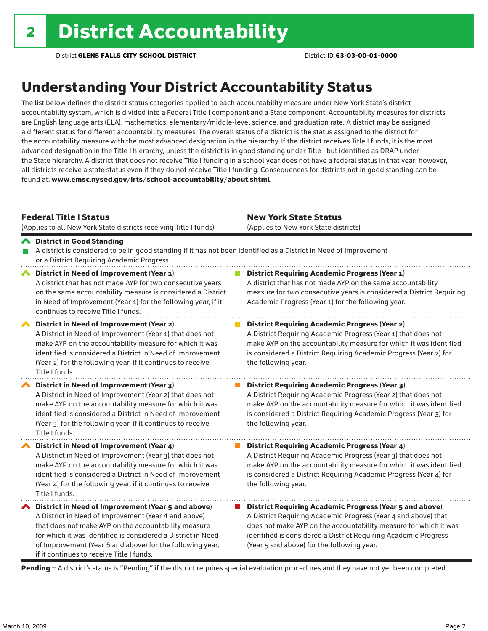### Understanding Your District Accountability Status

The list below defines the district status categories applied to each accountability measure under New York State's district accountability system, which is divided into a Federal Title I component and a State component. Accountability measures for districts are English language arts (ELA), mathematics, elementary/middle-level science, and graduation rate. A district may be assigned a different status for different accountability measures. The overall status of a district is the status assigned to the district for the accountability measure with the most advanced designation in the hierarchy. If the district receives Title I funds, it is the most advanced designation in the Title I hierarchy, unless the district is in good standing under Title I but identified as DRAP under the State hierarchy. A district that does not receive Title I funding in a school year does not have a federal status in that year; however, all districts receive a state status even if they do not receive Title I funding. Consequences for districts not in good standing can be found at: www.emsc.nysed.gov/irts/school-accountability/about.shtml.

#### Federal Title I Status

District in Good Standing

(Applies to all New York State districts receiving Title I funds)

New York State Status (Applies to New York State districts)

#### A district is considered to be in good standing if it has not been identified as a District in Need of Improvement or a District Requiring Academic Progress. ◆ District in Need of Improvement (Year 1) **District Requiring Academic Progress (Year 1)** A district that has not made AYP for two consecutive years A district that has not made AYP on the same accountability measure for two consecutive years is considered a District Requiring on the same accountability measure is considered a District in Need of Improvement (Year 1) for the following year, if it Academic Progress (Year 1) for the following year. continues to receive Title I funds.

District in Need of Improvement (Year 2) A District in Need of Improvement (Year 1) that does not make AYP on the accountability measure for which it was identified is considered a District in Need of Improvement (Year 2) for the following year, if it continues to receive Title I funds.

District in Need of Improvement (Year 3) A District in Need of Improvement (Year 2) that does not make AYP on the accountability measure for which it was identified is considered a District in Need of Improvement (Year 3) for the following year, if it continues to receive Title I funds.

◆ District in Need of Improvement (Year 4) A District in Need of Improvement (Year 3) that does not make AYP on the accountability measure for which it was identified is considered a District in Need of Improvement (Year 4) for the following year, if it continues to receive Title I funds.

 $\blacktriangle$  District in Need of Improvement (Year 5 and above) A District in Need of Improvement (Year 4 and above) that does not make AYP on the accountability measure for which it was identified is considered a District in Need of Improvement (Year 5 and above) for the following year, if it continues to receive Title I funds.

**District Requiring Academic Progress (Year 2)** A District Requiring Academic Progress (Year 1) that does not make AYP on the accountability measure for which it was identified is considered a District Requiring Academic Progress (Year 2) for the following year.

#### $\mathcal{L}_{\mathcal{A}}$ District Requiring Academic Progress (Year 3) A District Requiring Academic Progress (Year 2) that does not make AYP on the accountability measure for which it was identified is considered a District Requiring Academic Progress (Year 3) for the following year.

**District Requiring Academic Progress (Year 4)** A District Requiring Academic Progress (Year 3) that does not make AYP on the accountability measure for which it was identified is considered a District Requiring Academic Progress (Year 4) for the following year.

■ District Requiring Academic Progress (Year 5 and above) A District Requiring Academic Progress (Year 4 and above) that does not make AYP on the accountability measure for which it was identified is considered a District Requiring Academic Progress (Year 5 and above) for the following year.

Pending - A district's status is "Pending" if the district requires special evaluation procedures and they have not yet been completed.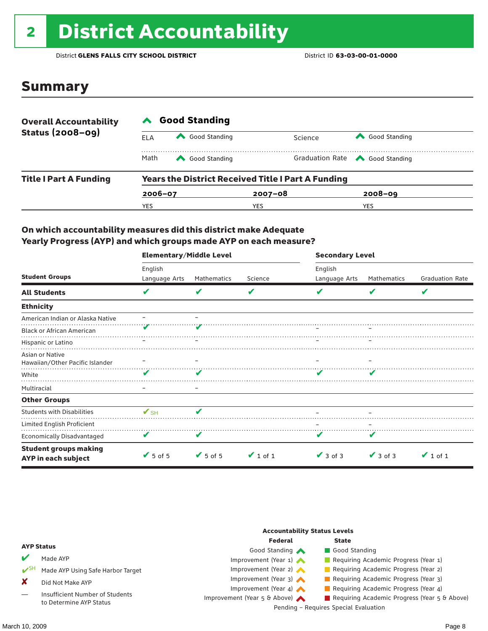# <sup>2</sup> District Accountability

District **GLENS FALLS CITY SCHOOL DISTRICT** District ID **63-03-00-01-0000**

### Summary

| <b>Overall Accountability</b><br><b>Status (2008-09)</b> | <b>Good Standing</b> |                                                           |             |                                       |  |  |  |
|----------------------------------------------------------|----------------------|-----------------------------------------------------------|-------------|---------------------------------------|--|--|--|
|                                                          | ELA                  | Good Standing                                             | Science     | Good Standing                         |  |  |  |
|                                                          | Math                 | Good Standing                                             |             | Graduation Rate <a> Good Standing</a> |  |  |  |
| <b>Title I Part A Funding</b>                            |                      | <b>Years the District Received Title I Part A Funding</b> |             |                                       |  |  |  |
|                                                          | $2006 - 07$          |                                                           | $2007 - 08$ | $2008 - 09$                           |  |  |  |
|                                                          | YES                  |                                                           | YES         | <b>YES</b>                            |  |  |  |

#### On which accountability measures did this district make Adequate Yearly Progress (AYP) and which groups made AYP on each measure?

|                                                     | <b>Elementary/Middle Level</b> |                              |               | <b>Secondary Level</b> |               |                        |  |
|-----------------------------------------------------|--------------------------------|------------------------------|---------------|------------------------|---------------|------------------------|--|
|                                                     | English                        |                              |               | English                |               |                        |  |
| <b>Student Groups</b>                               | Language Arts                  | Mathematics                  | Science       | Language Arts          | Mathematics   | <b>Graduation Rate</b> |  |
| <b>All Students</b>                                 | V                              |                              | V             |                        | v             | V                      |  |
| <b>Ethnicity</b>                                    |                                |                              |               |                        |               |                        |  |
| American Indian or Alaska Native                    |                                |                              |               |                        |               |                        |  |
| <b>Black or African American</b>                    |                                |                              |               |                        |               |                        |  |
| Hispanic or Latino                                  |                                |                              |               |                        |               |                        |  |
| Asian or Native<br>Hawaiian/Other Pacific Islander  |                                |                              |               |                        |               |                        |  |
| White                                               | v                              |                              |               |                        |               |                        |  |
| Multiracial                                         |                                |                              |               |                        |               |                        |  |
| <b>Other Groups</b>                                 |                                |                              |               |                        |               |                        |  |
| <b>Students with Disabilities</b>                   | $V$ SH                         | v                            |               |                        |               |                        |  |
| Limited English Proficient                          |                                |                              |               |                        |               |                        |  |
| Economically Disadvantaged                          | v                              |                              |               |                        |               |                        |  |
| <b>Student groups making</b><br>AYP in each subject | $\sqrt{5}$ of 5                | $\blacktriangleright$ 5 of 5 | $\vee$ 1 of 1 | $\vee$ 3 of 3          | $\vee$ 3 of 3 | $\vee$ 1 of 1          |  |

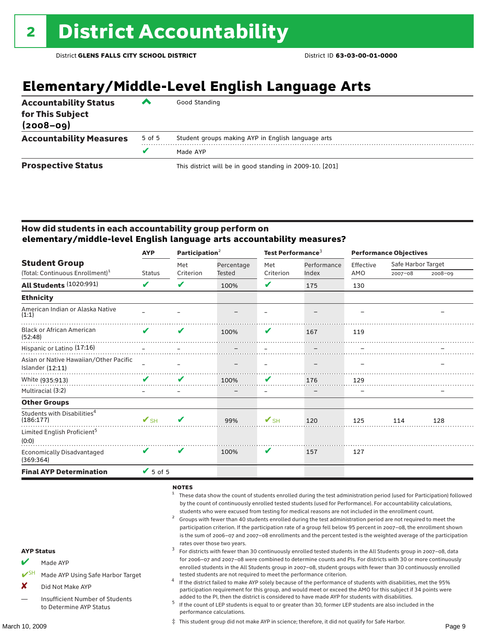## **Elementary/Middle-Level English Language Arts**

| <b>Accountability Status</b><br>for This Subject<br>$(2008 - 09)$ | ▰      | Good Standing                                            |
|-------------------------------------------------------------------|--------|----------------------------------------------------------|
| <b>Accountability Measures</b>                                    | 5 of 5 | Student groups making AYP in English language arts       |
|                                                                   |        | Made AYP                                                 |
| <b>Prospective Status</b>                                         |        | This district will be in good standing in 2009-10. [201] |

#### How did students in each accountability group perform on **elementary/middle-level English language arts accountability measures?**

|                                                            | <b>AYP</b>               | Participation $2$ |               | Test Performance <sup>3</sup> |            | <b>Performance Objectives</b> |             |             |                    |  |
|------------------------------------------------------------|--------------------------|-------------------|---------------|-------------------------------|------------|-------------------------------|-------------|-------------|--------------------|--|
| <b>Student Group</b>                                       |                          |                   |               | Met                           | Percentage | Met                           | Performance | Effective   | Safe Harbor Target |  |
| (Total: Continuous Enrollment) <sup>1</sup>                | <b>Status</b>            | Criterion         | <b>Tested</b> | Criterion                     | Index      | AMO                           | $2007 - 08$ | $2008 - 09$ |                    |  |
| All Students (1020:991)                                    | V                        | V                 | 100%          | V                             | 175        | 130                           |             |             |                    |  |
| <b>Ethnicity</b>                                           |                          |                   |               |                               |            |                               |             |             |                    |  |
| American Indian or Alaska Native<br>(1:1)                  |                          |                   |               |                               |            |                               |             |             |                    |  |
| <b>Black or African American</b><br>(52:48)                | ✔                        | V                 | 100%          | V                             | 167        | 119                           |             |             |                    |  |
| Hispanic or Latino (17:16)                                 |                          |                   |               |                               |            |                               |             |             |                    |  |
| Asian or Native Hawaiian/Other Pacific<br>Islander (12:11) |                          |                   |               |                               |            |                               |             |             |                    |  |
| White (935:913)                                            | V                        | V                 | 100%          | V                             | 176        | 129                           |             |             |                    |  |
| Multiracial (3:2)                                          |                          |                   |               | -                             |            |                               |             |             |                    |  |
| <b>Other Groups</b>                                        |                          |                   |               |                               |            |                               |             |             |                    |  |
| Students with Disabilities <sup>4</sup><br>(186:177)       | $\mathbf{V}_{\text{SH}}$ | ✔                 | 99%           | $\mathbf{V}_{\text{SH}}$      | 120        | 125                           | 114         | 128         |                    |  |
| Limited English Proficient <sup>5</sup><br>(0:0)           |                          |                   |               |                               |            |                               |             |             |                    |  |
| <b>Economically Disadvantaged</b><br>(369:364)             | V                        | V                 | 100%          | V                             | 157        | 127                           |             |             |                    |  |
| <b>Final AYP Determination</b>                             | $\sqrt{5}$ of 5          |                   |               |                               |            |                               |             |             |                    |  |

#### $NOTES$

- <sup>1</sup> These data show the count of students enrolled during the test administration period (used for Participation) followed by the count of continuously enrolled tested students (used for Performance). For accountability calculations,
- students who were excused from testing for medical reasons are not included in the enrollment count.<br>Groups with fewer than 40 students enrolled during the test administration period are not required to meet the participation criterion. If the participation rate of a group fell below 95 percent in 2007–08, the enrollment shown is the sum of 2006–07 and 2007–08 enrollments and the percent tested is the weighted average of the participation
- rates over those two years.<br><sup>3</sup> For districts with fewer than 30 continuously enrolled tested students in the All Students group in 2007–08, data for 2006–07 and 2007–08 were combined to determine counts and PIs. For districts with 30 or more continuously enrolled students in the All Students group in 2007–08, student groups with fewer than 30 continuously enrolled
- tested students are not required to meet the performance criterion. <sup>4</sup> If the district failed to make AYP solely because of the performance of students with disabilities, met the 95% participation requirement for this group, and would meet or exceed the AMO for this subject if 34 points were
- added to the PI, then the district is considered to have made AYP for students with disabilities.<br><sup>5</sup> If the count of LEP students is equal to or greater than 30, former LEP students are also included in the performance calculations.

‡ This student group did not make AYP in science; therefore, it did not qualify for Safe Harbor.

#### AYP Status Made AYP

- Made AYP Using Safe Harbor Target
- X Did Not Make AYP
- Insufficient Number of Students to Determine AYP Status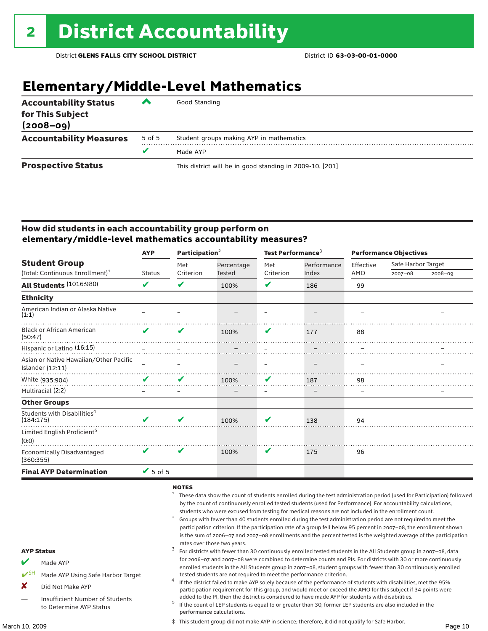## **Elementary/Middle-Level Mathematics**

| <b>Accountability Status</b><br>for This Subject<br>$(2008 - 09)$ | ▰      | Good Standing                                            |
|-------------------------------------------------------------------|--------|----------------------------------------------------------|
| <b>Accountability Measures</b>                                    | 5 of 5 | Student groups making AYP in mathematics                 |
|                                                                   |        | Made AYP                                                 |
| <b>Prospective Status</b>                                         |        | This district will be in good standing in 2009-10. [201] |

#### How did students in each accountability group perform on **elementary/middle-level mathematics accountability measures?**

|                                                              | <b>AYP</b>    | Participation <sup>2</sup> |            | Test Performance <sup>3</sup> |             | <b>Performance Objectives</b> |                    |             |
|--------------------------------------------------------------|---------------|----------------------------|------------|-------------------------------|-------------|-------------------------------|--------------------|-------------|
| <b>Student Group</b>                                         |               | Met                        | Percentage | Met                           | Performance | Effective                     | Safe Harbor Target |             |
| (Total: Continuous Enrollment) <sup>1</sup>                  | <b>Status</b> | Criterion                  | Tested     | Criterion                     | Index       | AMO                           | $2007 - 08$        | $2008 - 09$ |
| All Students (1016:980)                                      | V             | ✔                          | 100%       | V                             | 186         | 99                            |                    |             |
| <b>Ethnicity</b>                                             |               |                            |            |                               |             |                               |                    |             |
| American Indian or Alaska Native<br>(1:1)                    |               |                            |            |                               |             |                               |                    |             |
| <b>Black or African American</b><br>(50:47)                  | ✔             | V                          | 100%       | V                             | 177         | 88                            |                    |             |
| Hispanic or Latino (16:15)                                   |               |                            |            |                               |             |                               |                    |             |
| Asian or Native Hawaiian/Other Pacific<br>Islander $(12:11)$ |               |                            |            |                               |             |                               |                    |             |
| White (935:904)                                              | V             | V                          | 100%       | V                             | 187         | 98                            |                    |             |
| Multiracial (2:2)                                            |               |                            |            | $\qquad \qquad -$             | -           |                               |                    |             |
| <b>Other Groups</b>                                          |               |                            |            |                               |             |                               |                    |             |
| Students with Disabilities <sup>4</sup><br>(184:175)         |               | $\mathbf{v}$               | 100%       | V                             | 138         | 94                            |                    |             |
| Limited English Proficient <sup>5</sup><br>(0:0)             |               |                            |            |                               |             |                               |                    |             |
| Economically Disadvantaged<br>(360:355)                      | V             | V                          | 100%       | V                             | 175         | 96                            |                    |             |
| <b>Final AYP Determination</b>                               | $V$ 5 of 5    |                            |            |                               |             |                               |                    |             |

#### $NOTES$

- <sup>1</sup> These data show the count of students enrolled during the test administration period (used for Participation) followed by the count of continuously enrolled tested students (used for Performance). For accountability calculations,
- students who were excused from testing for medical reasons are not included in the enrollment count.<br><sup>2</sup> Groups with fewer than 40 students enrolled during the test administration period are not required to meet the participation criterion. If the participation rate of a group fell below 95 percent in 2007–08, the enrollment shown is the sum of 2006–07 and 2007–08 enrollments and the percent tested is the weighted average of the participation rates over those two years.<br><sup>3</sup> For districts with fewer than 30 continuously enrolled tested students in the All Students group in 2007–08, data
- for 2006–07 and 2007–08 were combined to determine counts and PIs. For districts with 30 or more continuously enrolled students in the All Students group in 2007–08, student groups with fewer than 30 continuously enrolled
- tested students are not required to meet the performance criterion. <sup>4</sup> If the district failed to make AYP solely because of the performance of students with disabilities, met the 95% participation requirement for this group, and would meet or exceed the AMO for this subject if 34 points were
- added to the PI, then the district is considered to have made AYP for students with disabilities.<br> $5$  If the count of LEP students is equal to or greater than 30, former LEP students are also included in the performance calculations.

‡ This student group did not make AYP in science; therefore, it did not qualify for Safe Harbor.

### AYP Status

- Made AYP
- Made AYP Using Safe Harbor Target
- X Did Not Make AYP
- Insufficient Number of Students to Determine AYP Status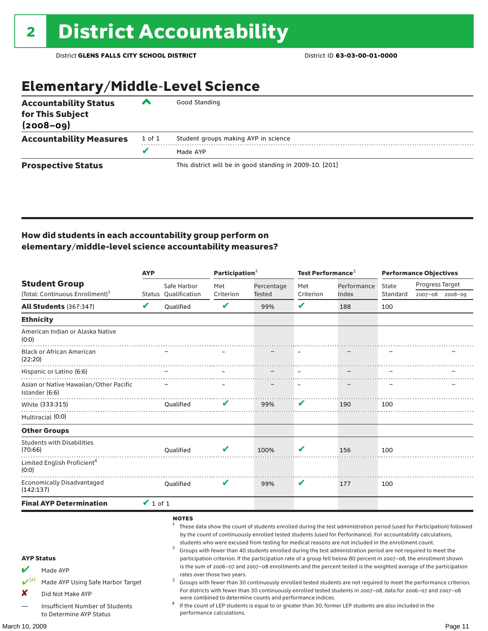### Elementary/Middle-Level Science

| <b>Accountability Status</b><br>for This Subject<br>$(2008 - 09)$ | ◚      | Good Standing                                            |
|-------------------------------------------------------------------|--------|----------------------------------------------------------|
| <b>Accountability Measures</b>                                    | 1 of 1 | Student groups making AYP in science                     |
|                                                                   | v      | Made AYP                                                 |
| <b>Prospective Status</b>                                         |        | This district will be in good standing in 2009-10. [201] |

#### How did students in each accountability group perform on elementary/middle-level science accountability measures?

|                                           |                                                                                                      | <b>AYP</b>    |                                                     | Participation <sup>2</sup>  |                                                            | Test Performance <sup>3</sup> |                                                                                                                                                                                                                                                                                                                                                                                                                                                                                                                                                                                                                                                                                                                                                                                                                                                                                                                                                                                                                                                                        | <b>Performance Objectives</b> |                 |                 |
|-------------------------------------------|------------------------------------------------------------------------------------------------------|---------------|-----------------------------------------------------|-----------------------------|------------------------------------------------------------|-------------------------------|------------------------------------------------------------------------------------------------------------------------------------------------------------------------------------------------------------------------------------------------------------------------------------------------------------------------------------------------------------------------------------------------------------------------------------------------------------------------------------------------------------------------------------------------------------------------------------------------------------------------------------------------------------------------------------------------------------------------------------------------------------------------------------------------------------------------------------------------------------------------------------------------------------------------------------------------------------------------------------------------------------------------------------------------------------------------|-------------------------------|-----------------|-----------------|
|                                           | <b>Student Group</b><br>(Total: Continuous Enrollment) <sup>1</sup>                                  |               | Safe Harbor<br><b>Status Qualification</b>          | Met<br>Criterion            | Percentage<br><b>Tested</b>                                | Met<br>Criterion              | Performance<br>Index                                                                                                                                                                                                                                                                                                                                                                                                                                                                                                                                                                                                                                                                                                                                                                                                                                                                                                                                                                                                                                                   | State<br>Standard             | Progress Target | 2007-08 2008-09 |
|                                           | <b>All Students (367:347)</b>                                                                        | V             | <b>Oualified</b>                                    | V                           | 99%                                                        | $\mathbf v$                   | 188                                                                                                                                                                                                                                                                                                                                                                                                                                                                                                                                                                                                                                                                                                                                                                                                                                                                                                                                                                                                                                                                    | 100                           |                 |                 |
| <b>Ethnicity</b>                          |                                                                                                      |               |                                                     |                             |                                                            |                               |                                                                                                                                                                                                                                                                                                                                                                                                                                                                                                                                                                                                                                                                                                                                                                                                                                                                                                                                                                                                                                                                        |                               |                 |                 |
| (0:0)                                     | American Indian or Alaska Native                                                                     |               |                                                     |                             |                                                            |                               |                                                                                                                                                                                                                                                                                                                                                                                                                                                                                                                                                                                                                                                                                                                                                                                                                                                                                                                                                                                                                                                                        |                               |                 |                 |
| (22:20)                                   | <b>Black or African American</b>                                                                     |               |                                                     |                             |                                                            |                               |                                                                                                                                                                                                                                                                                                                                                                                                                                                                                                                                                                                                                                                                                                                                                                                                                                                                                                                                                                                                                                                                        |                               |                 |                 |
|                                           | Hispanic or Latino (6:6)                                                                             |               |                                                     |                             |                                                            |                               |                                                                                                                                                                                                                                                                                                                                                                                                                                                                                                                                                                                                                                                                                                                                                                                                                                                                                                                                                                                                                                                                        |                               |                 |                 |
|                                           | Asian or Native Hawaiian/Other Pacific<br>Islander (6:6)                                             |               |                                                     |                             |                                                            |                               |                                                                                                                                                                                                                                                                                                                                                                                                                                                                                                                                                                                                                                                                                                                                                                                                                                                                                                                                                                                                                                                                        |                               |                 |                 |
|                                           | White (333:315)                                                                                      |               | <b>Oualified</b>                                    |                             | 99%                                                        | V                             | 190                                                                                                                                                                                                                                                                                                                                                                                                                                                                                                                                                                                                                                                                                                                                                                                                                                                                                                                                                                                                                                                                    | 100                           |                 |                 |
|                                           | Multiracial (0:0)                                                                                    |               |                                                     |                             |                                                            |                               |                                                                                                                                                                                                                                                                                                                                                                                                                                                                                                                                                                                                                                                                                                                                                                                                                                                                                                                                                                                                                                                                        |                               |                 |                 |
|                                           | <b>Other Groups</b>                                                                                  |               |                                                     |                             |                                                            |                               |                                                                                                                                                                                                                                                                                                                                                                                                                                                                                                                                                                                                                                                                                                                                                                                                                                                                                                                                                                                                                                                                        |                               |                 |                 |
| (70:66)                                   | <b>Students with Disabilities</b>                                                                    |               | <b>Oualified</b>                                    |                             | 100%                                                       | V                             | 156                                                                                                                                                                                                                                                                                                                                                                                                                                                                                                                                                                                                                                                                                                                                                                                                                                                                                                                                                                                                                                                                    | 100                           |                 |                 |
| (0:0)                                     | Limited English Proficient <sup>4</sup>                                                              |               |                                                     |                             |                                                            |                               |                                                                                                                                                                                                                                                                                                                                                                                                                                                                                                                                                                                                                                                                                                                                                                                                                                                                                                                                                                                                                                                                        |                               |                 |                 |
| (142:137)                                 | <b>Economically Disadvantaged</b>                                                                    |               | <b>Oualified</b>                                    | v                           | 99%                                                        | V                             | 177                                                                                                                                                                                                                                                                                                                                                                                                                                                                                                                                                                                                                                                                                                                                                                                                                                                                                                                                                                                                                                                                    | 100                           |                 |                 |
|                                           | <b>Final AYP Determination</b>                                                                       | $\vee$ 1 of 1 |                                                     |                             |                                                            |                               |                                                                                                                                                                                                                                                                                                                                                                                                                                                                                                                                                                                                                                                                                                                                                                                                                                                                                                                                                                                                                                                                        |                               |                 |                 |
| <b>AYP Status</b><br>$V^{\text{SH}}$<br>x | Made AYP<br>Made AYP Using Safe Harbor Target<br>Did Not Make AYP<br>Insufficient Number of Students |               | <b>NOTES</b><br>$\mathbf{1}$<br>$\overline{a}$<br>3 | rates over those two years. | were combined to determine counts and performance indices. |                               | These data show the count of students enrolled during the test administration period (used for Participation) followed<br>by the count of continuously enrolled tested students (used for Performance). For accountability calculations,<br>students who were excused from testing for medical reasons are not included in the enrollment count.<br>Groups with fewer than 40 students enrolled during the test administration period are not required to meet the<br>participation criterion. If the participation rate of a group fell below 80 percent in 2007-08, the enrollment shown<br>is the sum of 2006-07 and 2007-08 enrollments and the percent tested is the weighted average of the participation<br>Groups with fewer than 30 continuously enrolled tested students are not required to meet the performance criterion.<br>For districts with fewer than 30 continuously enrolled tested students in 2007-08, data for 2006-07 and 2007-08<br>If the count of LEP students is equal to or greater than 30, former LEP students are also included in the |                               |                 |                 |
|                                           | to Determine AYP Status                                                                              |               |                                                     | performance calculations.   |                                                            |                               |                                                                                                                                                                                                                                                                                                                                                                                                                                                                                                                                                                                                                                                                                                                                                                                                                                                                                                                                                                                                                                                                        |                               |                 |                 |
| March 10. 2009                            |                                                                                                      |               |                                                     |                             |                                                            |                               |                                                                                                                                                                                                                                                                                                                                                                                                                                                                                                                                                                                                                                                                                                                                                                                                                                                                                                                                                                                                                                                                        |                               |                 | Page 11         |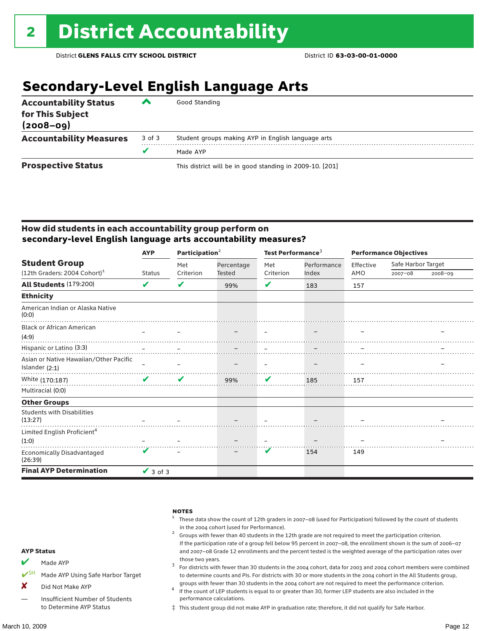## **Secondary-Level English Language Arts**

| <b>Accountability Status</b><br>for This Subject<br>$(2008 - 09)$ | ▰      | Good Standing                                            |
|-------------------------------------------------------------------|--------|----------------------------------------------------------|
| <b>Accountability Measures</b>                                    | 3 of 3 | Student groups making AYP in English language arts       |
|                                                                   |        | Made AYP                                                 |
| <b>Prospective Status</b>                                         |        | This district will be in good standing in 2009-10. [201] |

#### How did students in each accountability group perform on **secondary-level English language arts accountability measures?**

|                                              | <b>AYP</b>    | Participation $2$ |                      | Test Performance <sup>3</sup> |             | <b>Performance Objectives</b> |                    |             |
|----------------------------------------------|---------------|-------------------|----------------------|-------------------------------|-------------|-------------------------------|--------------------|-------------|
| <b>Student Group</b>                         |               | Met               | Percentage<br>Tested | Met                           | Performance | Effective                     | Safe Harbor Target |             |
| $(12th$ Graders: 2004 Cohort) <sup>1</sup>   | Status        | Criterion         |                      | Criterion                     | Index       | AMO                           | $2007 - 08$        | $2008 - 09$ |
| All Students (179:200)                       | V             | ✔                 | 99%                  | V                             | 183         | 157                           |                    |             |
| <b>Ethnicity</b>                             |               |                   |                      |                               |             |                               |                    |             |
| American Indian or Alaska Native<br>(0:0)    |               |                   |                      |                               |             |                               |                    |             |
| <b>Black or African American</b>             |               |                   |                      |                               |             |                               |                    |             |
| (4:9)                                        |               |                   |                      |                               |             |                               |                    |             |
|                                              |               |                   |                      |                               |             |                               |                    |             |
| Asian or Native Hawaiian/Other Pacific       |               |                   |                      |                               |             |                               |                    |             |
| Islander $(2:1)$                             |               |                   |                      |                               |             |                               |                    |             |
| White (170:187)                              | $\mathbf{v}$  | V                 | 99%                  | V                             | 185         | 157                           |                    |             |
| Multiracial (0:0)                            |               |                   |                      |                               |             |                               |                    |             |
| <b>Other Groups</b>                          |               |                   |                      |                               |             |                               |                    |             |
| <b>Students with Disabilities</b><br>(13:27) |               |                   |                      |                               |             |                               |                    |             |
| Limited English Proficient <sup>4</sup>      |               |                   |                      |                               |             |                               |                    |             |
| (1:0)                                        |               |                   |                      |                               |             |                               |                    |             |
| Economically Disadvantaged<br>(26:39)        |               |                   |                      | V                             | 154         | 149                           |                    |             |
| <b>Final AYP Determination</b>               | $\vee$ 3 of 3 |                   |                      |                               |             |                               |                    |             |

|                   |                                   | <b>NOTES</b><br>These data show the count of 12th graders in 2007-08 (used for Participation) followed by the count of students<br>in the 2004 cohort (used for Performance).                                                        |
|-------------------|-----------------------------------|--------------------------------------------------------------------------------------------------------------------------------------------------------------------------------------------------------------------------------------|
|                   |                                   | Groups with fewer than 40 students in the 12th grade are not required to meet the participation criterion.                                                                                                                           |
| <b>AYP Status</b> |                                   | If the participation rate of a group fell below 95 percent in 2007-08, the enrollment shown is the sum of 2006-07<br>and 2007-08 Grade 12 enrollments and the percent tested is the weighted average of the participation rates over |
| M                 | Made AYP                          | those two years.<br>For districts with fewer than 30 students in the 2004 cohort, data for 2003 and 2004 cohort members were combined                                                                                                |
|                   | Made AYP Using Safe Harbor Target | to determine counts and PIs. For districts with 30 or more students in the 2004 cohort in the All Students group,                                                                                                                    |
| X                 | Did Not Make AYP                  | groups with fewer than 30 students in the 2004 cohort are not required to meet the performance criterion.<br>If the count of LEP students is equal to or greater than 30, former LEP students are also included in the               |
|                   | Insufficient Number of Students   | performance calculations.                                                                                                                                                                                                            |

‡ This student group did not make AYP in graduation rate; therefore, it did not qualify for Safe Harbor.

to Determine AYP Status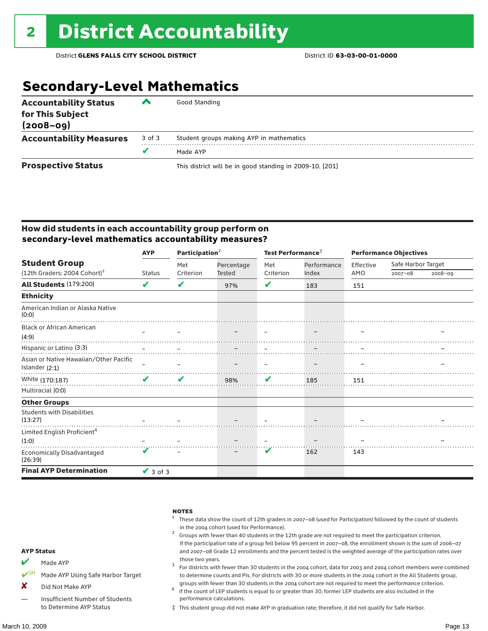### **Secondary-Level Mathematics**

| <b>Accountability Status</b><br>for This Subject<br>$(2008 - 09)$ | ‴      | Good Standing                                            |
|-------------------------------------------------------------------|--------|----------------------------------------------------------|
| <b>Accountability Measures</b>                                    | 3 of 3 | Student groups making AYP in mathematics                 |
|                                                                   |        | Made AYP                                                 |
| <b>Prospective Status</b>                                         |        | This district will be in good standing in 2009-10. [201] |

#### How did students in each accountability group perform on **secondary-level mathematics accountability measures?**

|                                              | <b>AYP</b>    | Participation <sup>2</sup> |                      | Test Performance <sup>3</sup> |                          | <b>Performance Objectives</b> |                    |             |
|----------------------------------------------|---------------|----------------------------|----------------------|-------------------------------|--------------------------|-------------------------------|--------------------|-------------|
| <b>Student Group</b>                         |               | Met                        | Percentage<br>Tested | Met                           | Performance              | Effective                     | Safe Harbor Target |             |
| (12th Graders: 2004 Cohort) <sup>1</sup>     | <b>Status</b> | Criterion                  |                      | Criterion                     | Index                    | AMO                           | $2007 - 08$        | $2008 - 09$ |
| <b>All Students (179:200)</b>                | V             | V                          | 97%                  | ✔                             | 183                      | 151                           |                    |             |
| <b>Ethnicity</b>                             |               |                            |                      |                               |                          |                               |                    |             |
| American Indian or Alaska Native<br>(0:0)    |               |                            |                      |                               |                          |                               |                    |             |
| <b>Black or African American</b>             |               |                            |                      |                               |                          |                               |                    |             |
| (4:9)                                        |               |                            |                      | $\sim$                        | $\overline{\phantom{m}}$ |                               |                    |             |
|                                              |               |                            |                      |                               |                          |                               |                    |             |
| Asian or Native Hawaiian/Other Pacific       |               |                            |                      |                               |                          |                               |                    |             |
| Islander $(2:1)$                             |               |                            |                      |                               |                          |                               |                    |             |
| White (170:187)                              | $\mathbf{v}$  | V                          | 98%                  | $\mathbf v$                   | 185                      | 151                           |                    |             |
| Multiracial (0:0)                            |               |                            |                      |                               |                          |                               |                    |             |
| <b>Other Groups</b>                          |               |                            |                      |                               |                          |                               |                    |             |
| <b>Students with Disabilities</b><br>(13:27) |               |                            |                      |                               |                          |                               |                    |             |
| Limited English Proficient <sup>4</sup>      |               |                            |                      |                               |                          |                               |                    |             |
| (1:0)                                        |               |                            |                      |                               |                          |                               |                    |             |
| Economically Disadvantaged<br>(26:39)        |               |                            |                      | V                             | 162                      | 143                           |                    |             |
| <b>Final AYP Determination</b>               | $\vee$ 3 of 3 |                            |                      |                               |                          |                               |                    |             |

|                   |                                   | <b>NOTES</b><br>These data show the count of 12th graders in 2007-08 (used for Participation) followed by the count of students<br>in the 2004 cohort (used for Performance).<br>Groups with fewer than 40 students in the 12th grade are not required to meet the participation criterion.<br>If the participation rate of a group fell below 95 percent in 2007-08, the enrollment shown is the sum of 2006-07 |
|-------------------|-----------------------------------|------------------------------------------------------------------------------------------------------------------------------------------------------------------------------------------------------------------------------------------------------------------------------------------------------------------------------------------------------------------------------------------------------------------|
| <b>AYP Status</b> |                                   | and 2007-08 Grade 12 enrollments and the percent tested is the weighted average of the participation rates over                                                                                                                                                                                                                                                                                                  |
| M                 | Made AYP                          | those two years.<br>For districts with fewer than 30 students in the 2004 cohort, data for 2003 and 2004 cohort members were combined                                                                                                                                                                                                                                                                            |
|                   | Made AYP Using Safe Harbor Target | to determine counts and PIs. For districts with 30 or more students in the 2004 cohort in the All Students group,                                                                                                                                                                                                                                                                                                |
| X                 | Did Not Make AYP                  | groups with fewer than 30 students in the 2004 cohort are not required to meet the performance criterion.<br>If the count of LEP students is equal to or greater than 30, former LEP students are also included in the                                                                                                                                                                                           |
|                   | Insufficient Number of Students   | performance calculations.                                                                                                                                                                                                                                                                                                                                                                                        |

‡ This student group did not make AYP in graduation rate; therefore, it did not qualify for Safe Harbor.

to Determine AYP Status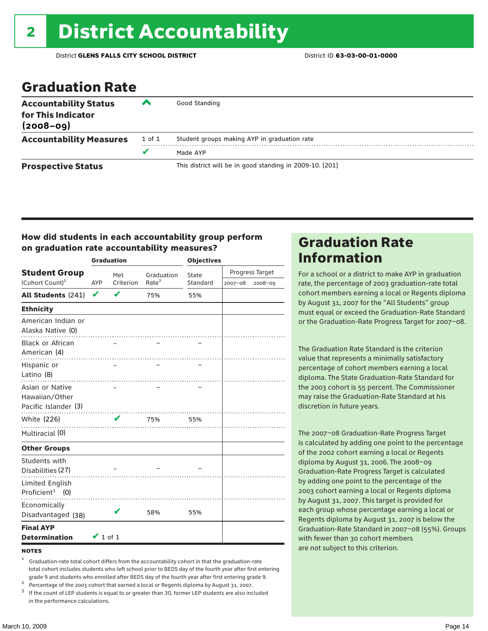### Graduation Rate

| <b>Accountability Status</b><br>for This Indicator<br>$(2008 - 09)$ | ‴      | Good Standing                                            |
|---------------------------------------------------------------------|--------|----------------------------------------------------------|
| <b>Accountability Measures</b>                                      | 1 of 1 | Student groups making AYP in graduation rate             |
|                                                                     |        | Made AYP                                                 |
| <b>Prospective Status</b>                                           |        | This district will be in good standing in 2009-10. [201] |

#### How did students in each accountability group perform on graduation rate accountability measures?

|                                                           |               | <b>Graduation</b> |                   | <b>Objectives</b> |                 |         |  |
|-----------------------------------------------------------|---------------|-------------------|-------------------|-------------------|-----------------|---------|--|
| <b>Student Group</b>                                      |               | Met               | Graduation        | State             | Progress Target |         |  |
| (Cohort Count) <sup>1</sup>                               | AYP           | Criterion         | Rate <sup>2</sup> | Standard          | 2007-08         | 2008-09 |  |
| All Students (241)                                        | $\checkmark$  | $\mathbf{v}$      | 75%               | 55%               |                 |         |  |
| <b>Ethnicity</b>                                          |               |                   |                   |                   |                 |         |  |
| American Indian or<br>Alaska Native (0)                   |               |                   |                   |                   |                 |         |  |
| <b>Black or African</b><br>American (4)                   |               |                   |                   |                   |                 |         |  |
| Hispanic or<br>Latino (8)                                 |               |                   |                   |                   |                 |         |  |
| Asian or Native<br>Hawaiian/Other<br>Pacific Islander (3) |               |                   |                   |                   |                 |         |  |
| White (226)                                               |               | V                 | 75%               | 55%               |                 |         |  |
| Multiracial (0)                                           |               |                   |                   |                   |                 |         |  |
| <b>Other Groups</b>                                       |               |                   |                   |                   |                 |         |  |
| Students with<br>Disabilities (27)                        |               |                   |                   |                   |                 |         |  |
| Limited English<br>Proficient <sup>3</sup> (0)            |               |                   |                   |                   |                 |         |  |
| Economically<br>Disadvantaged (38)                        |               |                   | 58%               | 55%               |                 |         |  |
| <b>Final AYP</b><br><b>Determination</b>                  | $\vee$ 1 of 1 |                   |                   |                   |                 |         |  |

#### **NOTES**

<sup>1</sup> Graduation-rate total cohort differs from the accountability cohort in that the graduation-rate total cohort includes students who left school prior to BEDS day of the fourth year after first entering

grade 9 and students who enrolled after BEDS day of the fourth year after first entering grade 9.<br>
<sup>2</sup> Percentage of the 2003 cohort that earned a local or Regents diploma by August 31, 2007.<br>
<sup>3</sup> If the count of LEP stud in the performance calculations.

### Graduation Rate Information

For a school or a district to make AYP in graduation rate, the percentage of 2003 graduation-rate total cohort members earning a local or Regents diploma by August 31, 2007 for the "All Students" group must equal or exceed the Graduation-Rate Standard or the Graduation-Rate Progress Target for 2007–08.

The Graduation Rate Standard is the criterion value that represents a minimally satisfactory percentage of cohort members earning a local diploma. The State Graduation-Rate Standard for the 2003 cohort is 55 percent. The Commissioner may raise the Graduation-Rate Standard at his discretion in future years.

The 2007–08 Graduation-Rate Progress Target is calculated by adding one point to the percentage of the 2002 cohort earning a local or Regents diploma by August 31, 2006. The 2008–09 Graduation-Rate Progress Target is calculated by adding one point to the percentage of the 2003 cohort earning a local or Regents diploma by August 31, 2007. This target is provided for each group whose percentage earning a local or Regents diploma by August 31, 2007 is below the Graduation-Rate Standard in 2007–08 (55%). Groups with fewer than 30 cohort members are not subject to this criterion.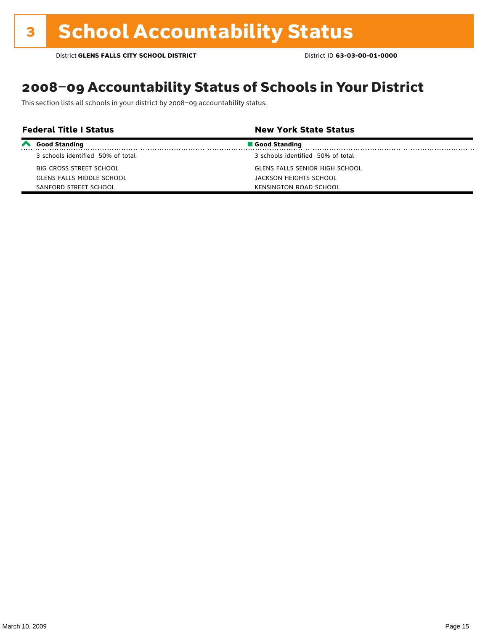### 2008–09 Accountability Status of Schools in Your District

This section lists all schools in your district by 2008–09 accountability status.

| <b>Federal Title I Status</b> |                                   | <b>New York State Status</b>      |  |
|-------------------------------|-----------------------------------|-----------------------------------|--|
| $\boldsymbol{\sim}$           | <b>Good Standing</b>              | Good Standing                     |  |
|                               | 3 schools identified 50% of total | 3 schools identified 50% of total |  |
|                               | BIG CROSS STREET SCHOOL           | GLENS FALLS SENIOR HIGH SCHOOL    |  |
|                               | <b>GLENS FALLS MIDDLE SCHOOL</b>  | JACKSON HEIGHTS SCHOOL            |  |
|                               | SANFORD STREET SCHOOL             | KENSINGTON ROAD SCHOOL            |  |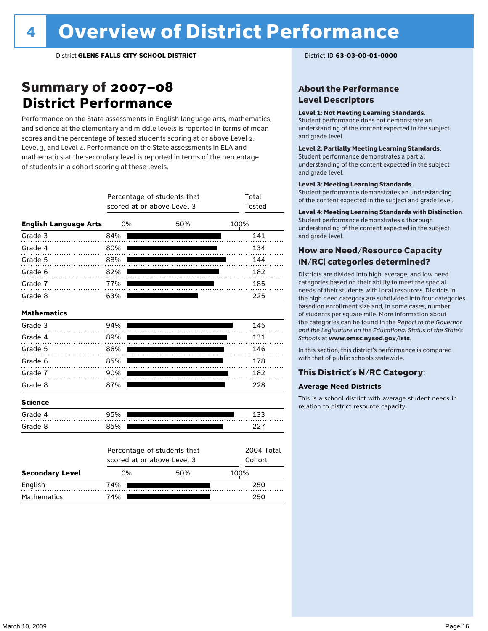### Summary of 2007–08 **District Performance**

Performance on the State assessments in English language arts, mathematics, and science at the elementary and middle levels is reported in terms of mean scores and the percentage of tested students scoring at or above Level 2, Level 3, and Level 4. Performance on the State assessments in ELA and mathematics at the secondary level is reported in terms of the percentage of students in a cohort scoring at these levels.

|                              |     | Percentage of students that<br>scored at or above Level 3 | Total<br>Tested      |      |
|------------------------------|-----|-----------------------------------------------------------|----------------------|------|
| <b>English Language Arts</b> | 0%  |                                                           | 50%                  | 100% |
| Grade 3                      | 84% |                                                           |                      | 141  |
| Grade 4                      | 80% |                                                           |                      | 134  |
| Grade 5                      | 88% |                                                           |                      | 144  |
| Grade 6                      | 82% |                                                           |                      | 182  |
| Grade 7                      | 77% |                                                           |                      | 185  |
| Grade 8                      | 63% |                                                           |                      | 225  |
| <b>Mathematics</b>           |     |                                                           |                      |      |
| Grade 3                      | 94% |                                                           |                      | 145  |
| Grade 4                      | 89% |                                                           |                      | 131  |
| Grade 5                      | 86% |                                                           |                      | 146  |
| Grade 6                      | 85% |                                                           |                      | 178  |
| Grade 7                      | 90% |                                                           |                      | 182  |
| Grade 8                      | 87% |                                                           |                      | 228  |
| <b>Science</b>               |     |                                                           |                      |      |
| Grade 4                      | 95% |                                                           |                      | 133  |
| Grade 8                      | 85% |                                                           |                      | 227  |
|                              |     | Percentage of students that<br>scored at or above Level 3 | 2004 Total<br>Cohort |      |
| <b>Secondary Level</b>       | 0%  |                                                           | 50%                  | 100% |
| English                      | 74% |                                                           | 250                  |      |

Mathematics 74% **250** 

#### About the Performance Level Descriptors

#### Level 1: Not Meeting Learning Standards.

Student performance does not demonstrate an understanding of the content expected in the subject and grade level.

#### Level 2: Partially Meeting Learning Standards.

Student performance demonstrates a partial understanding of the content expected in the subject and grade level.

#### Level 3: Meeting Learning Standards.

Student performance demonstrates an understanding of the content expected in the subject and grade level.

#### Level 4: Meeting Learning Standards with Distinction.

Student performance demonstrates a thorough understanding of the content expected in the subject and grade level.

#### How are Need/Resource Capacity (N/RC) categories determined?

Districts are divided into high, average, and low need categories based on their ability to meet the special needs of their students with local resources. Districts in the high need category are subdivided into four categories based on enrollment size and, in some cases, number of students per square mile. More information about the categories can be found in the *Report to the Governor and the Legislature on the Educational Status of the State's Schools* at www.emsc.nysed.gov/irts.

In this section, this district's performance is compared with that of public schools statewide.

#### This District's N/RC Category:

#### **Average Need Districts**

This is a school district with average student needs in relation to district resource capacity.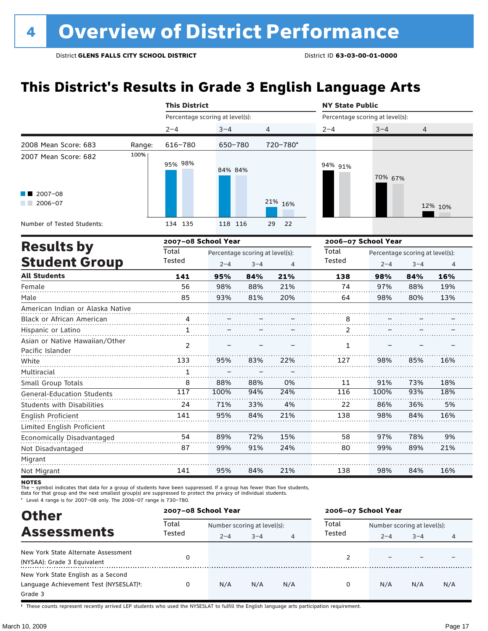### **This District's Results in Grade 3 English Language Arts**

|                                                          |        | <b>This District</b>            |         |                                 |                | <b>NY State Public</b>          |         |                                 |         |
|----------------------------------------------------------|--------|---------------------------------|---------|---------------------------------|----------------|---------------------------------|---------|---------------------------------|---------|
|                                                          |        | Percentage scoring at level(s): |         |                                 |                | Percentage scoring at level(s): |         |                                 |         |
|                                                          |        | $2 - 4$                         | $3 - 4$ | 4                               |                | $2 - 4$                         | $3 - 4$ | 4                               |         |
| 2008 Mean Score: 683                                     | Range: | 616-780                         | 650-780 |                                 | 720-780*       |                                 |         |                                 |         |
| 2007 Mean Score: 682                                     | 100%   | 95% 98%                         | 84% 84% |                                 |                | 94% 91%                         | 70% 67% |                                 |         |
| $\blacksquare$ 2007-08<br>$2006 - 07$<br><b>Contract</b> |        |                                 |         |                                 | 21% 16%        |                                 |         |                                 | 12% 10% |
| Number of Tested Students:                               |        | 134 135                         | 118 116 |                                 | 22<br>29       |                                 |         |                                 |         |
|                                                          |        | 2007-08 School Year             |         |                                 |                | 2006-07 School Year             |         |                                 |         |
| <b>Results by</b>                                        |        | Total                           |         | Percentage scoring at level(s): |                | Total                           |         | Percentage scoring at level(s): |         |
| <b>Student Group</b>                                     |        | Tested                          | $2 - 4$ | $3 - 4$                         | $\overline{4}$ | Tested                          | $2 - 4$ | $3 - 4$                         | 4       |
| <b>All Students</b>                                      |        | 141                             | 95%     | 84%                             | 21%            | 138                             | 98%     | 84%                             | 16%     |
| Female                                                   |        | 56                              | 98%     | 88%                             | 21%            | 74                              | 97%     | 88%                             | 19%     |
| Male                                                     |        | 85                              | 93%     | 81%                             | 20%            | 64                              | 98%     | 80%                             | 13%     |
| American Indian or Alaska Native                         |        |                                 |         |                                 |                |                                 |         |                                 |         |
| Black or African American                                |        | 4                               |         |                                 |                | 8                               |         |                                 |         |
| Hispanic or Latino                                       |        | $\mathbf{1}$                    |         |                                 |                | 2                               |         |                                 |         |
| Asian or Native Hawaiian/Other<br>Pacific Islander       |        | $\mathcal{P}$                   |         |                                 |                | 1                               |         |                                 |         |
| White                                                    |        | 133                             | 95%     | 83%                             | 22%            | 127                             | 98%     | 85%                             | 16%     |
| Multiracial                                              |        | 1                               |         |                                 |                |                                 |         |                                 |         |
| Small Group Totals                                       |        | 8                               | 88%     | 88%                             | 0%             | 11                              | 91%     | 73%                             | 18%     |
| <b>General-Education Students</b>                        |        | 117                             | 100%    | 94%                             | 24%            | 116                             | 100%    | 93%                             | 18%     |
| <b>Students with Disabilities</b>                        |        | 24                              | 71%     | 33%                             | 4%             | 22                              | 86%     | 36%                             | 5%      |
| English Proficient<br>Limited English Proficient         |        | 141                             | 95%     | 84%                             | 21%            | 138                             | 98%     | 84%                             | 16%     |
| Economically Disadvantaged                               |        | 54                              | 89%     | 72%                             | 15%            | 58                              | 97%     | 78%                             | 9%      |
| Not Disadvantaged                                        |        | 87                              | 99%     | 91%                             | 24%            | 80                              | 99%     | 89%                             | 21%     |
| Migrant                                                  |        |                                 |         |                                 |                |                                 |         |                                 |         |
| Not Migrant                                              |        | 141                             | 95%     | 84%                             | 21%            | 138                             | 98%     | 84%                             | 16%     |

**NOTES** 

The – symbol indicates that data for a group of students have been suppressed. If a group has fewer than five students,<br>data for that group and the next smallest group(s) are suppressed to protect the privacy of individual

\* Level 4 range is for 2007–08 only. The 2006–07 range is 730–780.

| <b>Other</b>                                                                                         |                 | 2007-08 School Year |                             |                | 2006-07 School Year |                             |         |     |
|------------------------------------------------------------------------------------------------------|-----------------|---------------------|-----------------------------|----------------|---------------------|-----------------------------|---------|-----|
| <b>Assessments</b>                                                                                   | Total<br>Tested |                     | Number scoring at level(s): |                |                     | Number scoring at level(s): |         |     |
|                                                                                                      |                 | $2 - 4$             | $3 - 4$                     | $\overline{4}$ | Tested              | $2 - 4$                     | $3 - 4$ | 4   |
| New York State Alternate Assessment<br>(NYSAA): Grade 3 Equivalent                                   |                 |                     |                             |                |                     |                             |         |     |
| New York State English as a Second<br>Language Achievement Test (NYSESLAT) <sup>+</sup> :<br>Grade 3 |                 | N/A                 | N/A                         | N/A            | 0                   | N/A                         | N/A     | N/A |

† These counts represent recently arrived LEP students who used the NYSESLAT to fulfill the English language arts participation requirement.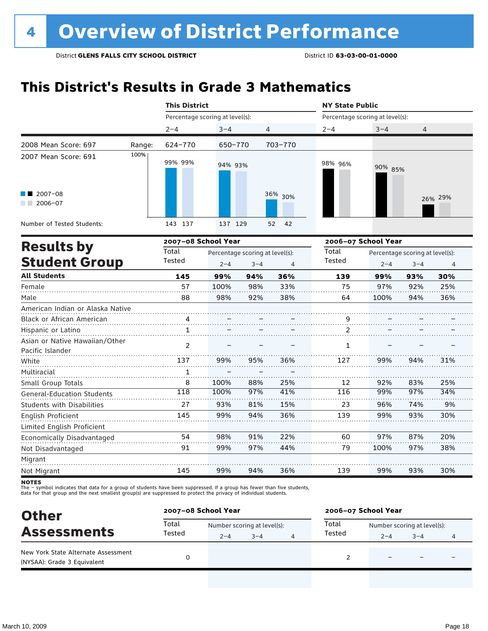### **This District's Results in Grade 3 Mathematics**

|                                                    |        | <b>This District</b>            |                                            |         |                | <b>NY State Public</b>          |                     |                                            |         |
|----------------------------------------------------|--------|---------------------------------|--------------------------------------------|---------|----------------|---------------------------------|---------------------|--------------------------------------------|---------|
|                                                    |        | Percentage scoring at level(s): |                                            |         |                | Percentage scoring at level(s): |                     |                                            |         |
|                                                    |        | $2 - 4$                         | $3 - 4$                                    | 4       |                | $2 - 4$                         | $3 - 4$             | 4                                          |         |
| 2008 Mean Score: 697                               | Range: | 624-770                         | 650-770                                    |         | 703-770        |                                 |                     |                                            |         |
| 2007 Mean Score: 691                               | 100%   | 99% 99%                         | 94% 93%                                    |         |                | 98% 96%                         | 90% 85%             |                                            |         |
| 2007-08<br>2006-07                                 |        |                                 |                                            |         | 36% 30%        |                                 |                     |                                            | 26% 29% |
| Number of Tested Students:                         |        | 143 137                         | 137 129                                    |         | 42<br>52       |                                 |                     |                                            |         |
|                                                    |        | 2007-08 School Year             |                                            |         |                |                                 | 2006-07 School Year |                                            |         |
| <b>Results by</b><br><b>Student Group</b>          |        | Total<br>Tested                 | Percentage scoring at level(s):<br>$2 - 4$ | $3 - 4$ | $\overline{4}$ | Total<br><b>Tested</b>          | $2 - 4$             | Percentage scoring at level(s):<br>$3 - 4$ | 4       |
| <b>All Students</b>                                |        | 145                             | 99%                                        | 94%     | 36%            | 139                             | 99%                 | 93%                                        | 30%     |
| Female                                             |        | 57                              | 100%                                       | 98%     | 33%            | 75                              | 97%                 | 92%                                        | 25%     |
| Male                                               |        | 88                              | 98%                                        | 92%     | 38%            | 64                              | 100%                | 94%                                        | 36%     |
| American Indian or Alaska Native                   |        |                                 |                                            |         |                |                                 |                     |                                            |         |
| Black or African American                          |        | 4                               |                                            |         |                | $\frac{9}{10}$                  |                     |                                            |         |
| Hispanic or Latino                                 |        | $\mathbf{1}$                    |                                            |         |                | 2                               |                     |                                            |         |
| Asian or Native Hawaiian/Other<br>Pacific Islander |        | $\overline{2}$                  |                                            |         |                | 1                               |                     |                                            |         |
| White                                              |        | 137                             | 99%                                        | 95%     | 36%            | 127                             | 99%                 | 94%                                        | 31%     |
| Multiracial                                        |        | 1                               |                                            |         |                |                                 |                     |                                            |         |
| Small Group Totals                                 |        | 8                               | 100%                                       | 88%     | 25%            | 12                              | 92%                 | 83%                                        | 25%     |
| <b>General-Education Students</b>                  |        | 118                             | 100%                                       | 97%     | 41%            | 116                             | 99%                 | 97%                                        | 34%     |
| <b>Students with Disabilities</b>                  |        | 27                              | 93%                                        | 81%     | 15%            | 23                              | 96%                 | 74%                                        | 9%      |
| English Proficient                                 |        | 145                             | 99%                                        | 94%     | 36%            | 139                             | 99%                 | 93%                                        | 30%     |
| Limited English Proficient                         |        |                                 |                                            |         |                |                                 |                     |                                            |         |
| Economically Disadvantaged                         |        | 54                              | 98%                                        | 91%     | 22%            | 60                              | 97%                 | 87%                                        | 20%     |
| Not Disadvantaged                                  |        | 91                              | 99%                                        | 97%     | 44%            | 79                              | 100%                | 97%                                        | 38%     |
| Migrant                                            |        |                                 |                                            |         |                |                                 |                     |                                            |         |
| Not Migrant                                        |        | 145                             | 99%                                        | 94%     | 36%            | 139                             | 99%                 | 93%                                        | 30%     |

**NOTES** 

The – symbol indicates that data for a group of students have been suppressed. If a group has fewer than five students,<br>data for that group and the next smallest group(s) are suppressed to protect the privacy of individual

| <b>Other</b>                                                       | 2007-08 School Year |         |                             |  | 2006-07 School Year |                             |         |   |  |
|--------------------------------------------------------------------|---------------------|---------|-----------------------------|--|---------------------|-----------------------------|---------|---|--|
| <b>Assessments</b>                                                 | Total<br>Tested     |         | Number scoring at level(s): |  |                     | Number scoring at level(s): |         |   |  |
|                                                                    |                     | $2 - 4$ | $3 - 4$                     |  | Tested              | $2 - 4$                     | $3 - 4$ | 4 |  |
| New York State Alternate Assessment<br>(NYSAA): Grade 3 Equivalent |                     |         |                             |  |                     |                             |         |   |  |
|                                                                    |                     |         |                             |  |                     |                             |         |   |  |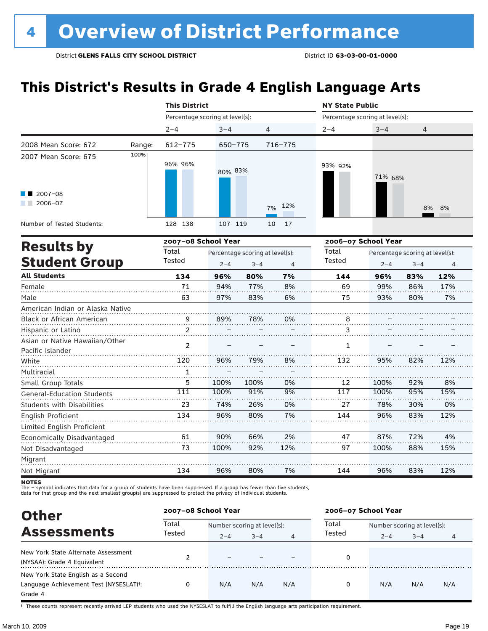### **This District's Results in Grade 4 English Language Arts**

|                                                    |        | <b>This District</b>            |         |                                            |                | <b>NY State Public</b>          |                     |                                            |     |
|----------------------------------------------------|--------|---------------------------------|---------|--------------------------------------------|----------------|---------------------------------|---------------------|--------------------------------------------|-----|
|                                                    |        | Percentage scoring at level(s): |         |                                            |                | Percentage scoring at level(s): |                     |                                            |     |
|                                                    |        | $2 - 4$                         | $3 - 4$ | 4                                          |                | $2 - 4$                         | $3 - 4$             | 4                                          |     |
| 2008 Mean Score: 672                               | Range: | 612-775                         | 650-775 |                                            | $716 - 775$    |                                 |                     |                                            |     |
| 2007 Mean Score: 675                               | 100%   | 96% 96%                         | 80% 83% |                                            |                | 93% 92%                         | 71% 68%             |                                            |     |
| $\blacksquare$ 2007-08<br>$2006 - 07$              |        |                                 |         |                                            | 12%<br>7%      |                                 |                     | 8%                                         | 8%  |
| Number of Tested Students:                         |        | 128 138                         | 107 119 |                                            | 10<br>17       |                                 |                     |                                            |     |
| <b>Results by</b>                                  |        | 2007-08 School Year             |         |                                            |                |                                 | 2006-07 School Year |                                            |     |
| <b>Student Group</b>                               |        | Total<br>Tested                 | $2 - 4$ | Percentage scoring at level(s):<br>$3 - 4$ | $\overline{4}$ | Total<br>Tested                 | $2 - 4$             | Percentage scoring at level(s):<br>$3 - 4$ | 4   |
| <b>All Students</b>                                |        | 134                             | 96%     | 80%                                        | 7%             | 144                             | 96%                 | 83%                                        | 12% |
| Female                                             |        | 71                              | 94%     | 77%                                        | 8%             | 69                              | 99%                 | 86%                                        | 17% |
| Male                                               |        | 63                              | 97%     | 83%                                        | 6%             | 75                              | 93%                 | 80%                                        | 7%  |
| American Indian or Alaska Native                   |        |                                 |         |                                            |                |                                 |                     |                                            |     |
| Black or African American                          |        | $\overline{9}$                  | 89%     | 78%                                        | 0%             | 8                               |                     |                                            |     |
| Hispanic or Latino                                 |        | 2                               |         |                                            |                | 3                               |                     |                                            |     |
| Asian or Native Hawaiian/Other<br>Pacific Islander |        | $\mathcal{P}$                   |         |                                            |                | $\mathbf{1}$                    |                     |                                            |     |
| White                                              |        | 120                             | 96%     | 79%                                        | 8%             | 132                             | 95%                 | 82%                                        | 12% |
| Multiracial                                        |        | $\mathbf{1}$                    |         |                                            |                |                                 |                     |                                            |     |
| Small Group Totals                                 |        | 5                               | 100%    | 100%                                       | 0%             | 12                              | 100%                | 92%                                        | 8%  |
| <b>General-Education Students</b>                  |        | 111                             | 100%    | 91%                                        | 9%             | 117                             | 100%                | 95%                                        | 15% |
| <b>Students with Disabilities</b>                  |        | 23                              | 74%     | 26%                                        | 0%             | 27                              | 78%                 | 30%                                        | 0%  |
| <b>English Proficient</b>                          |        | 134                             | 96%     | 80%                                        | 7%             | 144                             | 96%                 | 83%                                        | 12% |
| Limited English Proficient                         |        |                                 |         |                                            |                |                                 |                     |                                            |     |
| Economically Disadvantaged                         |        | 61                              | 90%     | 66%                                        | 2%             | 47                              | 87%                 | 72%                                        | 4%  |
| Not Disadvantaged                                  |        | 73                              | 100%    | 92%                                        | 12%            | 97                              | 100%                | 88%                                        | 15% |
| Migrant                                            |        |                                 |         |                                            |                |                                 |                     |                                            |     |
| Not Migrant                                        |        | 134                             | 96%     | 80%                                        | 7%             | 144                             | 96%                 | 83%                                        | 12% |

**NOTES** 

The – symbol indicates that data for a group of students have been suppressed. If a group has fewer than five students,<br>data for that group and the next smallest group(s) are suppressed to protect the privacy of individual

| <b>Other</b>                           | 2007-08 School Year |                             |         |     | 2006-07 School Year |                             |         |     |
|----------------------------------------|---------------------|-----------------------------|---------|-----|---------------------|-----------------------------|---------|-----|
| <b>Assessments</b>                     | Total               | Number scoring at level(s): |         |     | Total               | Number scoring at level(s): |         |     |
|                                        | Tested              | $2 - 4$                     | $3 - 4$ | 4   | Tested              | $2 - 4$                     | $3 - 4$ | 4   |
| New York State Alternate Assessment    |                     |                             |         |     | 0                   |                             |         |     |
| (NYSAA): Grade 4 Equivalent            |                     |                             |         |     |                     |                             |         |     |
| New York State English as a Second     |                     |                             |         |     |                     |                             |         |     |
| Language Achievement Test (NYSESLAT)t: | 0                   | N/A                         | N/A     | N/A | 0                   | N/A                         | N/A     | N/A |
| Grade 4                                |                     |                             |         |     |                     |                             |         |     |

† These counts represent recently arrived LEP students who used the NYSESLAT to fulfill the English language arts participation requirement.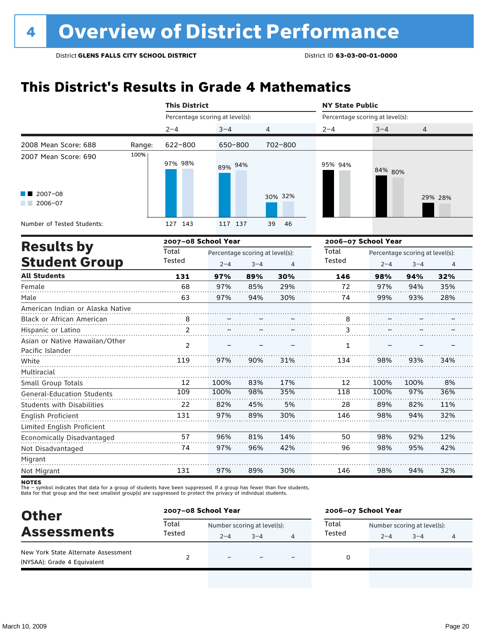### **This District's Results in Grade 4 Mathematics**

|                                                    |        | <b>This District</b>            |                                            |         |          | <b>NY State Public</b>          |                     |                                            |                |  |
|----------------------------------------------------|--------|---------------------------------|--------------------------------------------|---------|----------|---------------------------------|---------------------|--------------------------------------------|----------------|--|
|                                                    |        | Percentage scoring at level(s): |                                            |         |          | Percentage scoring at level(s): |                     |                                            |                |  |
|                                                    |        | $2 - 4$                         | $3 - 4$                                    | 4       |          | $2 - 4$                         | $3 - 4$             | $\overline{4}$                             |                |  |
| 2008 Mean Score: 688                               | Range: | 622-800                         | 650-800                                    |         | 702-800  |                                 |                     |                                            |                |  |
| 2007 Mean Score: 690                               | 100%   | 97% 98%                         | 89% 94%                                    |         |          | 95% 94%                         | 84% 80%             |                                            |                |  |
| $2007 - 08$<br>$2006 - 07$                         |        |                                 |                                            |         | 30% 32%  |                                 |                     |                                            | 29% 28%        |  |
| Number of Tested Students:                         |        | 127 143                         | 117 137                                    |         | 39<br>46 |                                 |                     |                                            |                |  |
| <b>Results by</b>                                  |        | 2007-08 School Year             |                                            |         |          |                                 | 2006-07 School Year |                                            |                |  |
| <b>Student Group</b>                               |        | Total<br>Tested                 | Percentage scoring at level(s):<br>$2 - 4$ | $3 - 4$ | 4        | Total<br>Tested                 | $2 - 4$             | Percentage scoring at level(s):<br>$3 - 4$ | $\overline{4}$ |  |
| <b>All Students</b>                                |        | 131                             | 97%                                        | 89%     | 30%      | 146                             | 98%                 | 94%                                        | 32%            |  |
| Female                                             |        | 68                              | 97%                                        | 85%     | 29%      | 72                              | 97%                 | 94%                                        | 35%            |  |
| Male                                               |        | 63                              | 97%                                        | 94%     | 30%      | 74                              | 99%                 | 93%                                        | 28%            |  |
| American Indian or Alaska Native                   |        |                                 |                                            |         |          |                                 |                     |                                            |                |  |
| Black or African American                          |        | 8                               |                                            |         |          | 8                               |                     |                                            |                |  |
| Hispanic or Latino                                 |        | 2                               |                                            |         |          | 3                               |                     |                                            |                |  |
| Asian or Native Hawaiian/Other<br>Pacific Islander |        | $\overline{2}$                  |                                            |         |          | $\mathbf{1}$                    |                     |                                            |                |  |
| White                                              |        | 119                             | 97%                                        | 90%     | 31%      | 134                             | 98%                 | 93%                                        | 34%            |  |
| Multiracial<br>Small Group Totals                  |        | 12                              | 100%                                       | 83%     | 17%      | 12                              | 100%                | 100%                                       | 8%             |  |
| <b>General-Education Students</b>                  |        | 109                             | 100%                                       | 98%     | 35%      | 118                             | 100%                | 97%                                        | 36%            |  |
| <b>Students with Disabilities</b>                  |        | 22                              | 82%                                        | 45%     | 5%       | 28                              | 89%                 | 82%                                        | 11%            |  |
| English Proficient                                 |        | 131                             | 97%                                        | 89%     | 30%      | 146                             | 98%                 | 94%                                        | 32%            |  |
| Limited English Proficient                         |        |                                 |                                            |         |          |                                 |                     |                                            |                |  |
| Economically Disadvantaged                         |        | 57                              | 96%                                        | 81%     | 14%      | 50                              | 98%                 | 92%                                        | 12%            |  |
| Not Disadvantaged                                  |        | 74                              | 97%                                        | 96%     | 42%      | 96                              | 98%                 | 95%                                        | 42%            |  |
| Migrant                                            |        |                                 |                                            |         |          |                                 |                     |                                            |                |  |
| Not Migrant                                        |        | 131                             | 97%                                        | 89%     | 30%      | 146                             | 98%                 | 94%                                        | 32%            |  |

**NOTES** 

The – symbol indicates that data for a group of students have been suppressed. If a group has fewer than five students,<br>data for that group and the next smallest group(s) are suppressed to protect the privacy of individual

| <b>Other</b>                                                       | 2007-08 School Year |                             |         |  | 2006-07 School Year |                             |         |   |
|--------------------------------------------------------------------|---------------------|-----------------------------|---------|--|---------------------|-----------------------------|---------|---|
| <b>Assessments</b>                                                 | Total<br>Tested     | Number scoring at level(s): |         |  | Total               | Number scoring at level(s): |         |   |
|                                                                    |                     | $2 - 4$                     | $3 - 4$ |  | Tested              | $2 - 4$                     | $3 - 4$ | 4 |
| New York State Alternate Assessment<br>(NYSAA): Grade 4 Equivalent |                     | $\equiv$                    |         |  |                     |                             |         |   |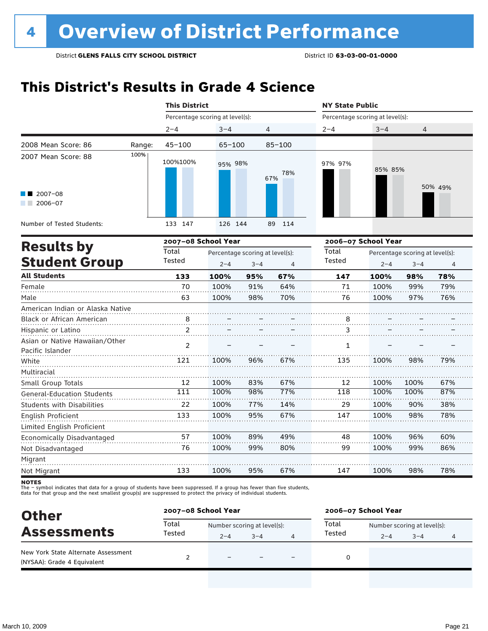### **This District's Results in Grade 4 Science**

|                                                    |        | <b>This District</b>            |            |                                            |                | <b>NY State Public</b>          |                     |                                            |                |
|----------------------------------------------------|--------|---------------------------------|------------|--------------------------------------------|----------------|---------------------------------|---------------------|--------------------------------------------|----------------|
|                                                    |        | Percentage scoring at level(s): |            |                                            |                | Percentage scoring at level(s): |                     |                                            |                |
|                                                    |        | $2 - 4$                         | $3 - 4$    | 4                                          |                | $2 - 4$                         | $3 - 4$             | 4                                          |                |
| 2008 Mean Score: 86                                | Range: | $45 - 100$                      | $65 - 100$ |                                            | $85 - 100$     |                                 |                     |                                            |                |
| 2007 Mean Score: 88                                | 100%   | 100%100%                        | 95% 98%    |                                            | 78%<br>67%     | 97% 97%                         | 85% 85%             |                                            |                |
| 2007-08<br>2006-07                                 |        |                                 |            |                                            |                |                                 |                     |                                            | 50% 49%        |
| Number of Tested Students:                         |        | 133 147                         | 126 144    |                                            | 89<br>114      |                                 |                     |                                            |                |
| <b>Results by</b>                                  |        | 2007-08 School Year             |            |                                            |                |                                 | 2006-07 School Year |                                            |                |
| <b>Student Group</b>                               |        | Total<br>Tested                 | $2 - 4$    | Percentage scoring at level(s):<br>$3 - 4$ | $\overline{4}$ | Total<br>Tested                 | $2 - 4$             | Percentage scoring at level(s):<br>$3 - 4$ | $\overline{4}$ |
| <b>All Students</b>                                |        | 133                             | 100%       | 95%                                        | 67%            | 147                             | 100%                | 98%                                        | 78%            |
| Female                                             |        | 70                              | 100%       | 91%                                        | 64%            | 71                              | 100%                | 99%                                        | 79%            |
| Male                                               |        | 63                              | 100%       | 98%                                        | 70%            | 76                              | 100%                | 97%                                        | 76%            |
| American Indian or Alaska Native                   |        |                                 |            |                                            |                |                                 |                     |                                            |                |
| Black or African American                          |        | 8                               |            |                                            |                | 8                               |                     |                                            |                |
| Hispanic or Latino                                 |        | 2                               |            |                                            |                | 3                               |                     |                                            |                |
| Asian or Native Hawaiian/Other<br>Pacific Islander |        | $\mathcal{P}$                   |            |                                            |                | 1                               |                     |                                            |                |
| White                                              |        | 121                             | 100%       | 96%                                        | 67%            | 135                             | 100%                | 98%                                        | 79%            |
| Multiracial                                        |        |                                 |            |                                            |                |                                 |                     |                                            |                |
| Small Group Totals                                 |        | 12                              | 100%       | 83%                                        | 67%            | 12                              | 100%                | 100%                                       | 67%            |
| <b>General-Education Students</b>                  |        | 111                             | 100%       | 98%                                        | 77%            | 118                             | 100%                | 100%                                       | 87%            |
| Students with Disabilities                         |        | 22                              | 100%       | 77%                                        | 14%            | 29                              | 100%                | 90%                                        | 38%            |
| <b>English Proficient</b>                          |        | 133                             | 100%       | 95%                                        | 67%            | 147                             | 100%                | 98%                                        | 78%            |
| Limited English Proficient                         |        |                                 |            |                                            |                |                                 |                     |                                            |                |
| Economically Disadvantaged                         |        | 57                              | 100%       | 89%                                        | 49%            | 48                              | 100%                | 96%                                        | 60%            |
| Not Disadvantaged                                  |        | 76                              | 100%       | 99%                                        | 80%            | 99                              | 100%                | 99%                                        | 86%            |
| Migrant                                            |        |                                 |            |                                            |                |                                 |                     |                                            |                |
| Not Migrant                                        |        | 133                             | 100%       | 95%                                        | 67%            | 147                             | 100%                | 98%                                        | 78%            |

**NOTES** 

The – symbol indicates that data for a group of students have been suppressed. If a group has fewer than five students,<br>data for that group and the next smallest group(s) are suppressed to protect the privacy of individual

| <b>Other</b>                                                       | 2007-08 School Year |                             |         |   | 2006-07 School Year |                             |         |   |
|--------------------------------------------------------------------|---------------------|-----------------------------|---------|---|---------------------|-----------------------------|---------|---|
| <b>Assessments</b>                                                 | Total<br>Tested     | Number scoring at level(s): |         |   | Total               | Number scoring at level(s): |         |   |
|                                                                    |                     | $2 - 4$                     | $3 - 4$ | 4 | Tested              | $2 - 4$                     | $3 - 4$ | 4 |
| New York State Alternate Assessment<br>(NYSAA): Grade 4 Equivalent |                     | $\equiv$                    |         |   |                     |                             |         |   |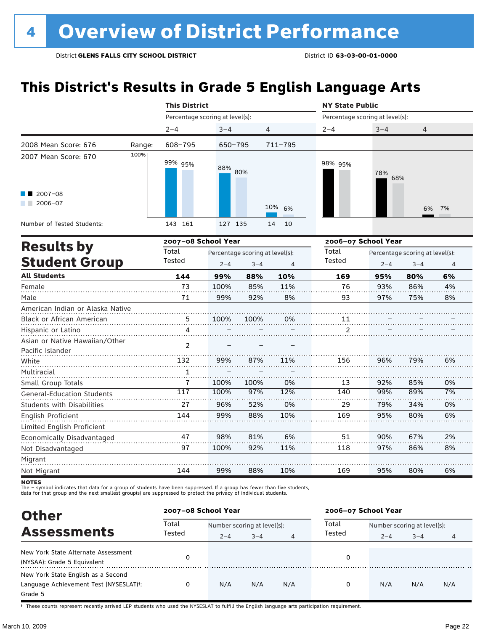### **This District's Results in Grade 5 English Language Arts**

|                                                    |        | <b>This District</b>            |             |                                 |             | <b>NY State Public</b>          |            |                                 |    |
|----------------------------------------------------|--------|---------------------------------|-------------|---------------------------------|-------------|---------------------------------|------------|---------------------------------|----|
|                                                    |        | Percentage scoring at level(s): |             |                                 |             | Percentage scoring at level(s): |            |                                 |    |
|                                                    |        | $2 - 4$                         | $3 - 4$     | 4                               |             | $2 - 4$                         | $3 - 4$    | 4                               |    |
| 2008 Mean Score: 676                               | Range: | 608-795                         | $650 - 795$ |                                 | $711 - 795$ |                                 |            |                                 |    |
| 2007 Mean Score: 670                               | 100%   | 99% 95%                         | 88% 80%     |                                 |             | 98% 95%                         | 78%<br>68% |                                 |    |
| $\blacksquare$ 2007-08<br>$2006 - 07$              |        |                                 |             |                                 | 10%<br>6%   |                                 |            | 6%                              | 7% |
| Number of Tested Students:                         |        | 143 161                         | 127 135     |                                 | 10<br>14    |                                 |            |                                 |    |
|                                                    |        | 2007-08 School Year             |             |                                 |             | 2006-07 School Year             |            |                                 |    |
| <b>Results by</b>                                  |        | Total                           |             | Percentage scoring at level(s): |             | Total                           |            | Percentage scoring at level(s): |    |
| <b>Student Group</b>                               |        | Tested                          | $2 - 4$     | $3 - 4$                         | 4           | Tested                          | $2 - 4$    | $3 - 4$                         | 4  |
| <b>All Students</b>                                |        | 144                             | 99%         | 88%                             | 10%         | 169                             | 95%        | 80%                             | 6% |
| Female                                             |        | 73                              | 100%        | 85%                             | 11%         | 76                              | 93%        | 86%                             | 4% |
| Male                                               |        | 71                              | 99%         | 92%                             | 8%          | 93                              | 97%        | 75%                             | 8% |
| American Indian or Alaska Native                   |        |                                 |             |                                 |             |                                 |            |                                 |    |
| Black or African American                          |        | 5                               | 100%        | 100%                            | 0%          | 11                              |            |                                 |    |
| Hispanic or Latino                                 |        | 4                               |             |                                 |             | 2                               |            |                                 |    |
| Asian or Native Hawaiian/Other<br>Pacific Islander |        | 2                               |             |                                 |             |                                 |            |                                 |    |
| White                                              |        | 132                             | 99%         | 87%                             | 11%         | 156                             | 96%        | 79%                             | 6% |
| Multiracial                                        |        | $\mathbf{1}$                    |             |                                 |             |                                 |            |                                 |    |
| Small Group Totals                                 |        | 7                               | 100%        | 100%                            | 0%          | 13                              | 92%        | 85%                             | 0% |
| <b>General-Education Students</b>                  |        | 117                             | 100%        | 97%                             | 12%         | 140                             | 99%        | 89%                             | 7% |
| <b>Students with Disabilities</b>                  |        | 27                              | 96%         | 52%                             | 0%          | 29                              | 79%        | 34%                             | 0% |
| English Proficient<br>Limited English Proficient   |        | 144                             | 99%         | 88%                             | 10%         | 169                             | 95%        | 80%                             | 6% |
| Economically Disadvantaged                         |        | 47                              | 98%         | 81%                             | 6%          | 51                              | 90%        | 67%                             | 2% |
| Not Disadvantaged                                  |        | 97                              | 100%        | 92%                             | 11%         | 118                             | 97%        | 86%                             | 8% |
| Migrant                                            |        |                                 |             |                                 |             |                                 |            |                                 |    |
| Not Migrant                                        |        | 144                             | 99%         | 88%                             | 10%         | 169                             | 95%        | 80%                             | 6% |

**NOTES** 

The – symbol indicates that data for a group of students have been suppressed. If a group has fewer than five students,<br>data for that group and the next smallest group(s) are suppressed to protect the privacy of individual

| <b>Other</b>                           | 2007-08 School Year |                             |         |     | 2006-07 School Year |                             |         |     |  |
|----------------------------------------|---------------------|-----------------------------|---------|-----|---------------------|-----------------------------|---------|-----|--|
|                                        | Total               | Number scoring at level(s): |         |     | Total               | Number scoring at level(s): |         |     |  |
| <b>Assessments</b>                     | Tested              | $2 - 4$                     | $3 - 4$ | 4   | Tested              | $2 - 4$                     | $3 - 4$ | 4   |  |
| New York State Alternate Assessment    | 0                   |                             |         |     | 0                   |                             |         |     |  |
| (NYSAA): Grade 5 Equivalent            |                     |                             |         |     |                     |                             |         |     |  |
| New York State English as a Second     |                     |                             |         |     |                     |                             |         |     |  |
| Language Achievement Test (NYSESLAT)t: | 0                   | N/A                         | N/A     | N/A | 0                   | N/A                         | N/A     | N/A |  |
| Grade 5                                |                     |                             |         |     |                     |                             |         |     |  |

† These counts represent recently arrived LEP students who used the NYSESLAT to fulfill the English language arts participation requirement.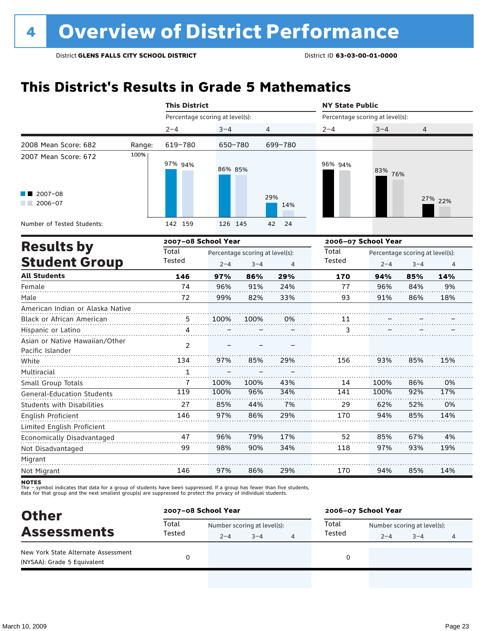### **This District's Results in Grade 5 Mathematics**

|                                                    |        | <b>This District</b>            |         |                                            |                | <b>NY State Public</b>          |                     |                                            |                |  |  |
|----------------------------------------------------|--------|---------------------------------|---------|--------------------------------------------|----------------|---------------------------------|---------------------|--------------------------------------------|----------------|--|--|
|                                                    |        | Percentage scoring at level(s): |         |                                            |                | Percentage scoring at level(s): |                     |                                            |                |  |  |
|                                                    |        | $2 - 4$                         | $3 - 4$ |                                            | 4              | $2 - 4$                         | $3 - 4$             | 4                                          |                |  |  |
| 2008 Mean Score: 682                               | Range: | 619-780                         | 650-780 |                                            | 699-780        |                                 |                     |                                            |                |  |  |
| 2007 Mean Score: 672                               | 100%   | 97% 94%                         | 86% 85% |                                            |                | 96% 94%                         | 83%<br>76%          |                                            |                |  |  |
| 2007-08<br>2006-07                                 |        |                                 |         |                                            | 29%<br>14%     |                                 |                     |                                            | 27% 22%        |  |  |
| Number of Tested Students:                         |        | 142 159                         | 126 145 |                                            | 24<br>42       |                                 |                     |                                            |                |  |  |
|                                                    |        | 2007-08 School Year             |         |                                            |                |                                 | 2006-07 School Year |                                            |                |  |  |
| <b>Results by</b><br><b>Student Group</b>          |        | Total<br>Tested                 | $2 - 4$ | Percentage scoring at level(s):<br>$3 - 4$ | $\overline{4}$ | Total<br>Tested                 | $2 - 4$             | Percentage scoring at level(s):<br>$3 - 4$ | $\overline{4}$ |  |  |
| <b>All Students</b>                                |        | 146                             | 97%     | 86%                                        | 29%            | 170                             | 94%                 | 85%                                        | 14%            |  |  |
| Female                                             |        | 74                              | 96%     | 91%                                        | 24%            | 77                              | 96%                 | 84%                                        | 9%             |  |  |
| Male                                               |        | 72                              | 99%     | 82%                                        | 33%            | 93                              | 91%                 | 86%                                        | 18%            |  |  |
| American Indian or Alaska Native                   |        |                                 |         |                                            |                |                                 |                     |                                            |                |  |  |
| Black or African American                          |        | 5                               | 100%    | 100%                                       | 0%             | 11                              |                     |                                            |                |  |  |
| Hispanic or Latino                                 |        | 4                               |         |                                            |                | 3                               |                     |                                            |                |  |  |
| Asian or Native Hawaiian/Other<br>Pacific Islander |        | $\overline{2}$                  |         |                                            |                |                                 |                     |                                            |                |  |  |
| White                                              |        | 134                             | 97%     | 85%                                        | 29%            | 156                             | 93%                 | 85%                                        | 15%            |  |  |
| Multiracial                                        |        | 1                               |         |                                            |                |                                 |                     |                                            |                |  |  |
| Small Group Totals                                 |        | 7                               | 100%    | 100%                                       | 43%            | 14                              | 100%                | 86%                                        | 0%             |  |  |
| <b>General-Education Students</b>                  |        | 119                             | 100%    | 96%                                        | 34%            | 141                             | 100%                | 92%                                        | 17%            |  |  |
| Students with Disabilities                         |        | 27                              | 85%     | 44%                                        | 7%             | 29                              | 62%                 | 52%                                        | 0%             |  |  |
| English Proficient                                 |        | 146                             | 97%     | 86%                                        | 29%            | 170                             | 94%                 | 85%                                        | 14%            |  |  |
| Limited English Proficient                         |        |                                 |         |                                            |                |                                 |                     |                                            |                |  |  |
| Economically Disadvantaged                         |        | 47                              | 96%     | 79%                                        | 17%            | 52                              | 85%                 | 67%                                        | 4%             |  |  |
| Not Disadvantaged                                  |        | 99                              | 98%     | 90%                                        | 34%            | 118                             | 97%                 | 93%                                        | 19%            |  |  |
| Migrant                                            |        |                                 |         |                                            |                |                                 |                     |                                            |                |  |  |
| Not Migrant                                        |        | 146                             | 97%     | 86%                                        | 29%            | 170                             | 94%                 | 85%                                        | 14%            |  |  |

**NOTES** 

The – symbol indicates that data for a group of students have been suppressed. If a group has fewer than five students,<br>data for that group and the next smallest group(s) are suppressed to protect the privacy of individual

| <b>Other</b>                                                       |        | 2007-08 School Year         |         |   | 2006-07 School Year |                             |         |   |  |  |
|--------------------------------------------------------------------|--------|-----------------------------|---------|---|---------------------|-----------------------------|---------|---|--|--|
| <b>Assessments</b>                                                 | Total  | Number scoring at level(s): |         |   | Total               | Number scoring at level(s): |         |   |  |  |
|                                                                    | Tested | $2 - 4$                     | $3 - 4$ | 4 | Tested              | $2 - 4$                     | $3 - 4$ | 4 |  |  |
| New York State Alternate Assessment<br>(NYSAA): Grade 5 Equivalent |        |                             |         |   | 0                   |                             |         |   |  |  |
|                                                                    |        |                             |         |   |                     |                             |         |   |  |  |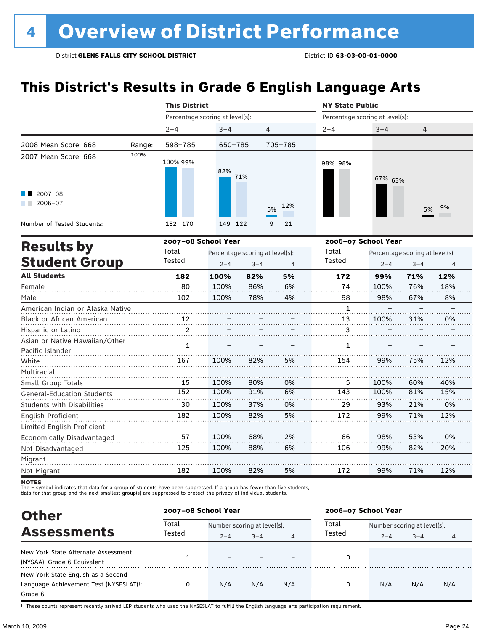### **This District's Results in Grade 6 English Language Arts**

|                                                     |        | <b>This District</b> |                                 |         |                | <b>NY State Public</b>          |         |                                 |                |  |  |
|-----------------------------------------------------|--------|----------------------|---------------------------------|---------|----------------|---------------------------------|---------|---------------------------------|----------------|--|--|
|                                                     |        |                      | Percentage scoring at level(s): |         |                | Percentage scoring at level(s): |         |                                 |                |  |  |
|                                                     |        | $2 - 4$              | $3 - 4$                         | 4       |                | $2 - 4$                         | $3 - 4$ | 4                               |                |  |  |
| 2008 Mean Score: 668                                | Range: | 598-785              | 650-785                         |         | 705-785        |                                 |         |                                 |                |  |  |
| 2007 Mean Score: 668                                | 100%   | 100% 99%             | 82%                             | 71%     |                | 98% 98%                         | 67% 63% |                                 |                |  |  |
| 2007-08<br>$2006 - 07$<br><b>The Contract State</b> |        |                      |                                 |         | 12%<br>5%      |                                 |         | 5%                              | 9%             |  |  |
| Number of Tested Students:                          |        | 182 170              | 149 122                         |         | 9<br>21        |                                 |         |                                 |                |  |  |
| <b>Results by</b>                                   |        |                      | 2007-08 School Year             |         |                | 2006-07 School Year             |         |                                 |                |  |  |
|                                                     |        | Total                | Percentage scoring at level(s): |         |                | Total                           |         | Percentage scoring at level(s): |                |  |  |
| <b>Student Group</b>                                |        | Tested               | $2 - 4$                         | $3 - 4$ | $\overline{4}$ | Tested                          | $2 - 4$ | $3 - 4$                         | $\overline{4}$ |  |  |
| <b>All Students</b>                                 |        | 182                  | 100%                            | 82%     | 5%             | 172                             | 99%     | 71%                             | 12%            |  |  |
| Female                                              |        | 80                   | 100%                            | 86%     | 6%             | 74                              | 100%    | 76%                             | 18%            |  |  |
| Male                                                |        | 102                  | 100%                            | 78%     | 4%             | 98                              | 98%     | 67%                             | 8%             |  |  |
| American Indian or Alaska Native                    |        |                      |                                 |         |                | $\mathbf{1}$                    |         |                                 |                |  |  |
| Black or African American                           |        | 12                   |                                 |         |                | 13                              | 100%    | 31%                             | 0%             |  |  |
| Hispanic or Latino                                  |        | 2                    |                                 |         |                | 3                               |         |                                 |                |  |  |
| Asian or Native Hawaiian/Other<br>Pacific Islander  |        | $\mathbf{1}$         |                                 |         |                | $\mathbf{1}$                    |         |                                 |                |  |  |
| White                                               |        | 167                  | 100%                            | 82%     | 5%             | 154                             | 99%     | 75%                             | 12%            |  |  |
| Multiracial                                         |        |                      |                                 |         |                |                                 |         |                                 |                |  |  |
| Small Group Totals                                  |        | 15                   | 100%                            | 80%     | 0%             | 5.                              | 100%    | 60%                             | 40%            |  |  |
| <b>General-Education Students</b>                   |        | 152                  | 100%                            | 91%     | 6%             | 143                             | 100%    | 81%                             | 15%            |  |  |
| <b>Students with Disabilities</b>                   |        | 30                   | 100%                            | 37%     | 0%             | 29                              | 93%     | 21%                             | 0%             |  |  |
| English Proficient                                  |        | 182                  | 100%                            | 82%     | 5%             | 172                             | 99%     | 71%                             | 12%            |  |  |
| Limited English Proficient                          |        |                      |                                 |         |                |                                 |         |                                 |                |  |  |
| Economically Disadvantaged                          |        | 57                   | 100%                            | 68%     | 2%             | 66                              | 98%     | 53%                             | 0%             |  |  |

Migrant Not Migrant 182 100% 82% 5% 172 99% 71% 12%

88%

6%

106

99%

82%

20%

100%

Not Disadvantaged

The – symbol indicates that data for a group of students have been suppressed. If a group has fewer than five students,<br>data for that group and the next smallest group(s) are suppressed to protect the privacy of individual

125

| <b>Other</b>                                                                            | 2007-08 School Year |                                        |         |     | 2006-07 School Year |                                        |         |     |  |
|-----------------------------------------------------------------------------------------|---------------------|----------------------------------------|---------|-----|---------------------|----------------------------------------|---------|-----|--|
| <b>Assessments</b>                                                                      | Total<br>Tested     | Number scoring at level(s):<br>$2 - 4$ | $3 - 4$ | 4   | Total<br>Tested     | Number scoring at level(s):<br>$2 - 4$ | $3 - 4$ |     |  |
| New York State Alternate Assessment<br>(NYSAA): Grade 6 Equivalent                      |                     |                                        |         |     | 0                   |                                        |         |     |  |
| New York State English as a Second<br>Language Achievement Test (NYSESLAT)t:<br>Grade 6 | 0                   | N/A                                    | N/A     | N/A | 0                   | N/A                                    | N/A     | N/A |  |

† These counts represent recently arrived LEP students who used the NYSESLAT to fulfill the English language arts participation requirement.

**NOTES**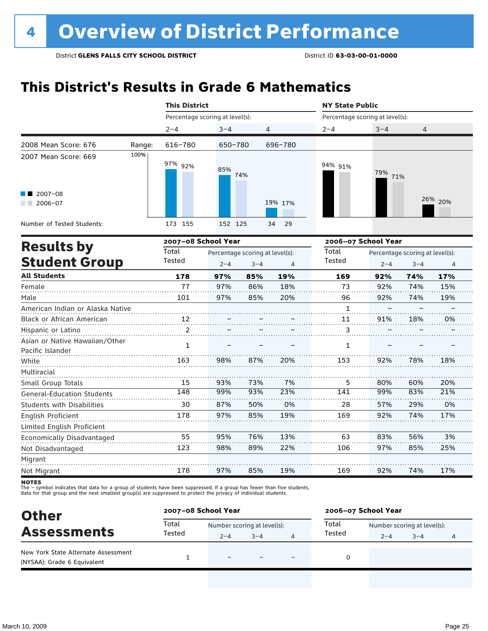### **This District's Results in Grade 6 Mathematics**

|                                                    |        | <b>This District</b>            |                                 |         |          | <b>NY State Public</b>          |            |                                 |         |  |  |
|----------------------------------------------------|--------|---------------------------------|---------------------------------|---------|----------|---------------------------------|------------|---------------------------------|---------|--|--|
|                                                    |        | Percentage scoring at level(s): |                                 |         |          | Percentage scoring at level(s): |            |                                 |         |  |  |
|                                                    |        | $2 - 4$                         | $3 - 4$                         | 4       |          | $2 - 4$                         | $3 - 4$    | 4                               |         |  |  |
| 2008 Mean Score: 676                               | Range: | 616-780                         | 650-780                         |         | 696-780  |                                 |            |                                 |         |  |  |
| 2007 Mean Score: 669                               | 100%   | 97% 92%                         | 85%                             | 74%     |          | 94% 91%                         | 79%<br>71% |                                 |         |  |  |
| 2007-08<br>2006-07                                 |        |                                 |                                 |         | 19% 17%  |                                 |            |                                 | 26% 20% |  |  |
| Number of Tested Students:                         |        | 173 155                         | 152 125                         |         | 29<br>34 |                                 |            |                                 |         |  |  |
| <b>Results by</b>                                  |        | 2007-08 School Year             |                                 |         |          | 2006-07 School Year             |            |                                 |         |  |  |
|                                                    |        | Total                           | Percentage scoring at level(s): |         |          | Total                           |            | Percentage scoring at level(s): |         |  |  |
| <b>Student Group</b>                               |        | Tested                          | $2 - 4$                         | $3 - 4$ | 4        | Tested                          | $2 - 4$    | $3 - 4$                         | 4       |  |  |
| <b>All Students</b>                                |        | 178                             | 97%                             | 85%     | 19%      | 169                             | 92%        | 74%                             | 17%     |  |  |
| Female                                             |        | 77                              | 97%                             | 86%     | 18%      | 73                              | 92%        | 74%                             | 15%     |  |  |
| Male                                               |        | 101                             | 97%                             | 85%     | 20%      | 96                              | 92%        | 74%                             | 19%     |  |  |
| American Indian or Alaska Native                   |        |                                 |                                 |         |          | $\mathbf{1}$                    |            |                                 |         |  |  |
| Black or African American                          |        | 12                              |                                 |         |          | 11                              | 91%        | 18%                             | 0%      |  |  |
| Hispanic or Latino                                 |        | 2                               |                                 |         |          | 3                               |            |                                 |         |  |  |
| Asian or Native Hawaiian/Other<br>Pacific Islander |        | $\mathbf{1}$                    |                                 |         |          | $\mathbf{1}$                    |            |                                 |         |  |  |
| White                                              |        | 163                             | 98%                             | 87%     | 20%      | 153                             | 92%        | 78%                             | 18%     |  |  |
| Multiracial                                        |        |                                 |                                 |         |          |                                 |            |                                 |         |  |  |
| Small Group Totals                                 |        | 15                              | 93%                             | 73%     | 7%       | 5                               | 80%        | 60%                             | 20%     |  |  |

The – symbot muicates that data for a group of students have been suppressed. In a group has fewer than five<br>data for that group and the next smallest group(s) are suppressed to protect the privacy of individual students. The – symbol indicates that data for a group of students have been suppressed. If a group has fewer than five students,

148 30 178 99% 87% 97%

93% 50% 85%

23% 0% 19%

141 28 169

99% 57% 92% 83% 29% 74%

21% 0% 17%

3% 25%

17%

56% 85%

74%

83% 97%

92%

63 106

169

13% 22%

19%

76% 89%

85%

95% 98%

97%

55 123

178

| <b>Other</b>                                                       |        | 2007-08 School Year         |         | 2006-07 School Year |                             |         |   |  |
|--------------------------------------------------------------------|--------|-----------------------------|---------|---------------------|-----------------------------|---------|---|--|
| <b>Assessments</b>                                                 | Total  | Number scoring at level(s): |         | Total               | Number scoring at level(s): |         |   |  |
|                                                                    | Tested | $2 - 4$                     | $3 - 4$ | Tested              | $2 - 4$                     | $3 - 4$ | 4 |  |
| New York State Alternate Assessment<br>(NYSAA): Grade 6 Equivalent |        |                             |         |                     |                             |         |   |  |

General-Education Students Students with Disabilities

Limited English Proficient Economically Disadvantaged

English Proficient

Not Disadvantaged

Migrant Not Migrant **NOTES**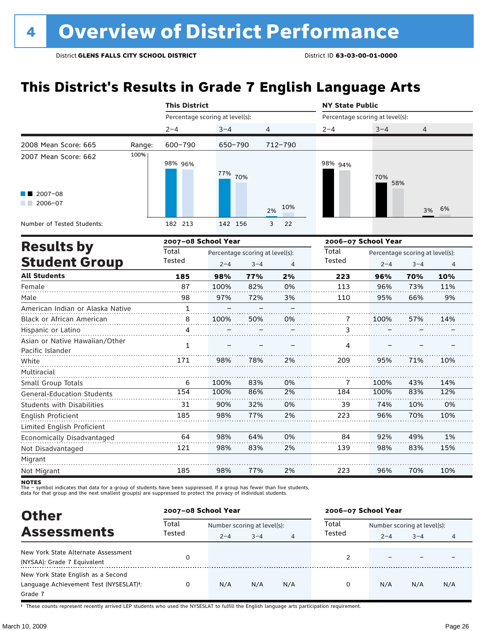### **This District's Results in Grade 7 English Language Arts**

|                                   |                                                                                                                                                                                                                                                                                                                                                                                                                                                                                                                                                                                                                                                                                                                                            |  |  | <b>NY State Public</b> |  |  |                |  |  |
|-----------------------------------|--------------------------------------------------------------------------------------------------------------------------------------------------------------------------------------------------------------------------------------------------------------------------------------------------------------------------------------------------------------------------------------------------------------------------------------------------------------------------------------------------------------------------------------------------------------------------------------------------------------------------------------------------------------------------------------------------------------------------------------------|--|--|------------------------|--|--|----------------|--|--|
|                                   | <b>This District</b><br>Percentage scoring at level(s):<br>Percentage scoring at level(s):<br>$2 - 4$<br>$3 - 4$<br>$2 - 4$<br>$3 - 4$<br>4<br>4<br>600-790<br>650-790<br>712-790<br>Range:<br>100%<br>98% 96%<br>98% 94%<br>77% 70%<br>70%<br>58%<br>10%<br>2%<br>3%<br>182 213<br>142 156<br>3<br>22<br>2007-08 School Year<br>2006-07 School Year<br>Total<br>Total<br>Percentage scoring at level(s):<br>Percentage scoring at level(s):<br>Tested<br>Tested<br>$2 - 4$<br>$3 - 4$<br>$2 - 4$<br>$3 - 4$<br>4<br>185<br>77%<br>2%<br>223<br>70%<br>98%<br>96%<br>87<br>82%<br>100%<br>0%<br>113<br>96%<br>73%<br>98<br>97%<br>72%<br>3%<br>95%<br>66%<br>110<br>1<br>100%<br>50%<br>0%<br>100%<br>57%<br>8<br>7<br>$\overline{4}$<br>3 |  |  |                        |  |  |                |  |  |
|                                   |                                                                                                                                                                                                                                                                                                                                                                                                                                                                                                                                                                                                                                                                                                                                            |  |  |                        |  |  |                |  |  |
| 2008 Mean Score: 665              |                                                                                                                                                                                                                                                                                                                                                                                                                                                                                                                                                                                                                                                                                                                                            |  |  |                        |  |  |                |  |  |
| 2007 Mean Score: 662              |                                                                                                                                                                                                                                                                                                                                                                                                                                                                                                                                                                                                                                                                                                                                            |  |  |                        |  |  |                |  |  |
| $\blacksquare$ 2007-08<br>2006-07 |                                                                                                                                                                                                                                                                                                                                                                                                                                                                                                                                                                                                                                                                                                                                            |  |  |                        |  |  | 6%             |  |  |
| Number of Tested Students:        |                                                                                                                                                                                                                                                                                                                                                                                                                                                                                                                                                                                                                                                                                                                                            |  |  |                        |  |  |                |  |  |
|                                   |                                                                                                                                                                                                                                                                                                                                                                                                                                                                                                                                                                                                                                                                                                                                            |  |  |                        |  |  |                |  |  |
| <b>Results by</b>                 |                                                                                                                                                                                                                                                                                                                                                                                                                                                                                                                                                                                                                                                                                                                                            |  |  |                        |  |  |                |  |  |
| <b>Student Group</b>              |                                                                                                                                                                                                                                                                                                                                                                                                                                                                                                                                                                                                                                                                                                                                            |  |  |                        |  |  | $\overline{4}$ |  |  |
| <b>All Students</b>               |                                                                                                                                                                                                                                                                                                                                                                                                                                                                                                                                                                                                                                                                                                                                            |  |  |                        |  |  | 10%            |  |  |
| Female                            |                                                                                                                                                                                                                                                                                                                                                                                                                                                                                                                                                                                                                                                                                                                                            |  |  |                        |  |  | 11%            |  |  |
| Male                              |                                                                                                                                                                                                                                                                                                                                                                                                                                                                                                                                                                                                                                                                                                                                            |  |  |                        |  |  | 9%             |  |  |
| American Indian or Alaska Native  |                                                                                                                                                                                                                                                                                                                                                                                                                                                                                                                                                                                                                                                                                                                                            |  |  |                        |  |  |                |  |  |
| Black or African American         |                                                                                                                                                                                                                                                                                                                                                                                                                                                                                                                                                                                                                                                                                                                                            |  |  |                        |  |  | 14%            |  |  |
| Hispanic or Latino                |                                                                                                                                                                                                                                                                                                                                                                                                                                                                                                                                                                                                                                                                                                                                            |  |  |                        |  |  |                |  |  |

| Hispanic or Latino                                 |     |      |     |    |     |      |     |     |
|----------------------------------------------------|-----|------|-----|----|-----|------|-----|-----|
| Asian or Native Hawaiian/Other<br>Pacific Islander |     |      |     |    | 4   |      |     |     |
| White                                              | 171 | 98%  | 78% | 2% | 209 | 95%  | 71% | 10% |
| Multiracial                                        |     |      |     |    |     |      |     |     |
| Small Group Totals                                 | 6   | 100% | 83% | 0% |     | 100% | 43% | 14% |
| <b>General-Education Students</b>                  | 154 | 100% | 86% | 2% | 184 | 100% | 83% | 12% |
| Students with Disabilities                         | 31  | 90%  | 32% | 0% | 39  | 74%  | 10% | 0%  |
| English Proficient                                 | 185 | 98%  | 77% | 2% | 223 | 96%  | 70% | 10% |
| Limited English Proficient                         |     |      |     |    |     |      |     |     |
| Economically Disadvantaged                         | 64  | 98%  | 64% | 0% | 84  | 92%  | 49% | 1%  |
| Not Disadvantaged                                  | 121 | 98%  | 83% | 2% | 139 | 98%  | 83% | 15% |
| Migrant                                            |     |      |     |    |     |      |     |     |
| Not Migrant                                        | 185 | 98%  | 77% | 2% | 223 | 96%  | 70% | 10% |
|                                                    |     |      |     |    |     |      |     |     |

notes

The – symbol indicates that data for a group of students have been suppressed. If a group has fewer than five students,<br>data for that group and the next smallest group(s) are suppressed to protect the privacy of individual

| <b>Other</b>                                                                                         |                 | 2007-08 School Year                    |         |     | 2006-07 School Year |                                        |         |     |  |
|------------------------------------------------------------------------------------------------------|-----------------|----------------------------------------|---------|-----|---------------------|----------------------------------------|---------|-----|--|
| <b>Assessments</b>                                                                                   | Total<br>Tested | Number scoring at level(s):<br>$2 - 4$ | $3 - 4$ | 4   | Total<br>Tested     | Number scoring at level(s):<br>$2 - 4$ | $3 - 4$ |     |  |
| New York State Alternate Assessment<br>(NYSAA): Grade 7 Equivalent                                   | 0               |                                        |         |     |                     |                                        |         |     |  |
| New York State English as a Second<br>Language Achievement Test (NYSESLAT) <sup>t</sup> :<br>Grade 7 | 0               | N/A                                    | N/A     | N/A | 0                   | N/A                                    | N/A     | N/A |  |

† These counts represent recently arrived LEP students who used the NYSESLAT to fulfill the English language arts participation requirement.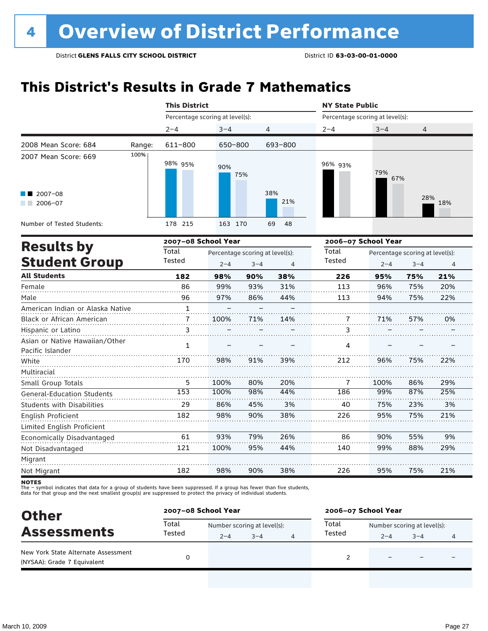### **This District's Results in Grade 7 Mathematics**

|                                                                                             |        | <b>This District</b>            |            |                                 |                        |         | <b>NY State Public</b>          |                                 |                |  |  |
|---------------------------------------------------------------------------------------------|--------|---------------------------------|------------|---------------------------------|------------------------|---------|---------------------------------|---------------------------------|----------------|--|--|
|                                                                                             |        | Percentage scoring at level(s): |            |                                 |                        |         | Percentage scoring at level(s): |                                 |                |  |  |
|                                                                                             |        | $2 - 4$                         | $3 - 4$    |                                 | 4                      | $2 - 4$ | $3 - 4$                         | 4                               |                |  |  |
| 2008 Mean Score: 684                                                                        | Range: | 611-800                         | 650-800    |                                 | 693-800                |         |                                 |                                 |                |  |  |
| 2007 Mean Score: 669<br>$\blacksquare$ 2007-08<br>$2006 - 07$<br>Number of Tested Students: | 100%   | 98% 95%<br>178 215              | 90%<br>163 | 75%<br>170                      | 38%<br>21%<br>69<br>48 | 96% 93% | 79%<br>67%                      | 28%                             | 18%            |  |  |
|                                                                                             |        | 2007-08 School Year             |            |                                 |                        |         | 2006-07 School Year             |                                 |                |  |  |
| <b>Results by</b>                                                                           |        | Total                           |            | Percentage scoring at level(s): |                        | Total   |                                 | Percentage scoring at level(s): |                |  |  |
| <b>Student Group</b>                                                                        |        | Tested                          | $2 - 4$    | $3 - 4$                         | 4                      | Tested  | $2 - 4$                         | $3 - 4$                         | $\overline{4}$ |  |  |
| <b>All Students</b>                                                                         |        | 182                             | 98%        | 90%                             | 38%                    | 226     | 95%                             | 75%                             | 21%            |  |  |
| Female                                                                                      |        | 86                              | 99%        | 93%                             | 31%                    | 113     | 96%                             | 75%                             | 20%            |  |  |
| Male                                                                                        |        | 96                              | 97%        | 86%                             | 44%                    | 113     | 94%                             | 75%                             | 22%            |  |  |
| A second contract the difference of Alberta and Alberta and                                 |        | $\overline{a}$                  |            |                                 |                        |         |                                 |                                 |                |  |  |

|     | 100% | 71% | 14% |     | 71%  | 57% | 0%  |
|-----|------|-----|-----|-----|------|-----|-----|
| 3   |      |     |     | 3   |      |     |     |
|     |      |     |     |     |      |     |     |
|     |      |     |     |     |      |     |     |
| 170 | 98%  | 91% | 39% | 212 | 96%  | 75% | 22% |
|     |      |     |     |     |      |     |     |
| 5   | 100% | 80% | 20% |     | 100% | 86% | 29% |
| 153 | 100% | 98% | 44% | 186 | 99%  | 87% | 25% |
| 29  | 86%  | 45% | 3%  | 40  | 75%  | 23% | 3%  |
| 182 | 98%  | 90% | 38% | 226 | 95%  | 75% | 21% |
|     |      |     |     |     |      |     |     |
| 61  | 93%  | 79% | 26% | 86  | 90%  | 55% | 9%  |
| 121 | 100% | 95% | 44% | 140 | 99%  | 88% | 29% |
|     |      |     |     |     |      |     |     |
| 182 | 98%  | 90% | 38% | 226 | 95%  | 75% | 21% |
|     |      |     |     |     | 4    |     |     |

**NOTES** 

The – symbol indicates that data for a group of students have been suppressed. If a group has fewer than five students,<br>data for that group and the next smallest group(s) are suppressed to protect the privacy of individual

| <b>Other</b><br><b>Assessments</b>                                 | 2007-08 School Year |                             |         |   | 2006-07 School Year |                             |         |  |  |
|--------------------------------------------------------------------|---------------------|-----------------------------|---------|---|---------------------|-----------------------------|---------|--|--|
|                                                                    | Total<br>Tested     | Number scoring at level(s): |         |   | Total               | Number scoring at level(s): |         |  |  |
|                                                                    |                     | $2 - 4$                     | $3 - 4$ | 4 | Tested              | $2 - 4$                     | $3 - 4$ |  |  |
| New York State Alternate Assessment<br>(NYSAA): Grade 7 Equivalent |                     |                             |         |   |                     |                             |         |  |  |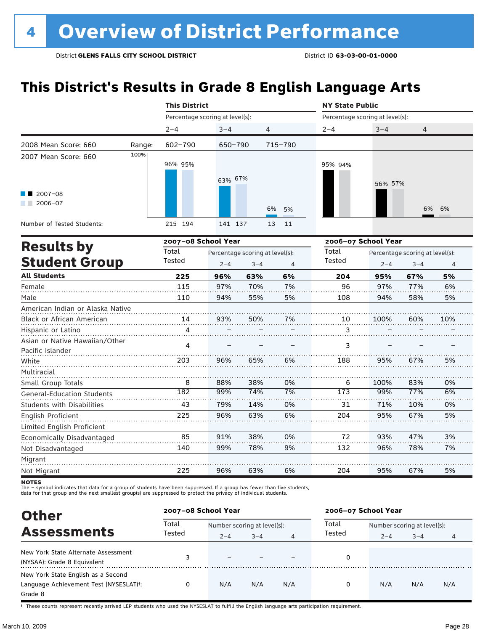### **This District's Results in Grade 8 English Language Arts**

|                                                    |        | <b>This District</b>            |                                 |                |                | <b>NY State Public</b>          |         |                                                                                 |     |  |  |  |
|----------------------------------------------------|--------|---------------------------------|---------------------------------|----------------|----------------|---------------------------------|---------|---------------------------------------------------------------------------------|-----|--|--|--|
|                                                    |        | Percentage scoring at level(s): |                                 |                |                | Percentage scoring at level(s): |         |                                                                                 |     |  |  |  |
|                                                    |        | $2 - 4$                         | $3 - 4$                         | $\overline{4}$ |                | $2 - 4$                         | $3 - 4$ | 4                                                                               |     |  |  |  |
| 2008 Mean Score: 660                               | Range: | 602-790                         | 650-790                         |                | 715-790        |                                 |         |                                                                                 |     |  |  |  |
| 2007 Mean Score: 660                               | 100%   | 96% 95%                         | 63% 67%                         |                |                | 95% 94%                         | 56% 57% |                                                                                 |     |  |  |  |
| $12007 - 08$<br>$2006 - 07$<br>a sa ta             |        |                                 |                                 |                | 6%<br>5%       |                                 |         |                                                                                 | 6%  |  |  |  |
| Number of Tested Students:                         |        | 215 194                         | 141 137                         |                | 13<br>11       |                                 |         |                                                                                 |     |  |  |  |
|                                                    |        | 2007-08 School Year             |                                 |                |                | 2006-07 School Year             |         | 6%<br>Percentage scoring at level(s):<br>$3 - 4$<br>$\overline{4}$<br>5%<br>67% |     |  |  |  |
| <b>Results by</b>                                  |        | Total                           | Percentage scoring at level(s): |                |                | Total                           |         |                                                                                 |     |  |  |  |
| <b>Student Group</b>                               |        | Tested                          | $2 - 4$                         | $3 - 4$        | $\overline{4}$ | Tested                          | $2 - 4$ |                                                                                 |     |  |  |  |
| <b>All Students</b>                                |        | 225                             | 96%                             | 63%            | 6%             | 204                             | 95%     |                                                                                 |     |  |  |  |
| Female                                             |        | 115                             | 97%                             | 70%            | 7%             | 96                              | 97%     | 77%                                                                             | 6%  |  |  |  |
| Male                                               |        | 110                             | 94%                             | 55%            | 5%             | 108                             | 94%     | 58%                                                                             | 5%  |  |  |  |
| American Indian or Alaska Native                   |        |                                 |                                 |                |                |                                 |         |                                                                                 |     |  |  |  |
| Black or African American                          |        | 14                              | 93%                             | 50%            | 7%             | 10                              | 100%    | 60%                                                                             | 10% |  |  |  |
| Hispanic or Latino                                 |        | 4                               |                                 |                |                | 3                               |         |                                                                                 |     |  |  |  |
| Asian or Native Hawaiian/Other<br>Pacific Islander |        | 4                               |                                 |                |                | 3                               |         |                                                                                 |     |  |  |  |
| White                                              |        | 203                             | 96%                             | 65%            | 6%             | 188                             | 95%     | 67%                                                                             | 5%  |  |  |  |
| Multiracial                                        |        |                                 |                                 |                |                |                                 |         |                                                                                 |     |  |  |  |
| Small Group Totals                                 |        | 8                               | 88%                             | 38%            | 0%             | 6                               | 100%    | 83%                                                                             | 0%  |  |  |  |
| <b>General-Education Students</b>                  |        | 182                             | 99%                             | 74%            | 7%             | 173                             | 99%     | 77%                                                                             | 6%  |  |  |  |
| <b>Students with Disabilities</b>                  |        | 43                              | 79%                             | 14%            | 0%             | 31                              | 71%     | 10%                                                                             | 0%  |  |  |  |
| English Proficient                                 |        | 225                             | 96%                             | 63%            | 6%             | 204                             | 95%     | 67%                                                                             | 5%  |  |  |  |
| Limited English Proficient                         |        |                                 |                                 |                |                |                                 |         |                                                                                 |     |  |  |  |
| Economically Disadvantaged                         |        | 85                              | 91%                             | 38%            | 0%             | 72                              | 93%     | 47%                                                                             | 3%  |  |  |  |
| Not Disadvantaged                                  |        | 140                             | 99%                             | 78%            | 9%             | 132                             | 96%     | 78%                                                                             | 7%  |  |  |  |
| Migrant                                            |        |                                 |                                 |                |                |                                 |         |                                                                                 |     |  |  |  |
| Not Migrant                                        |        | 225                             | 96%                             | 63%            | 6%             | 204                             | 95%     | 67%                                                                             | 5%  |  |  |  |

**NOTES** 

The – symbol indicates that data for a group of students have been suppressed. If a group has fewer than five students,<br>data for that group and the next smallest group(s) are suppressed to protect the privacy of individual

| <b>Other</b>                           |                 | 2007-08 School Year         |         |     | 2006-07 School Year |                             |         |     |  |
|----------------------------------------|-----------------|-----------------------------|---------|-----|---------------------|-----------------------------|---------|-----|--|
| <b>Assessments</b>                     | Total<br>Tested | Number scoring at level(s): |         |     | Total               | Number scoring at level(s): |         |     |  |
|                                        |                 | $2 - 4$                     | $3 - 4$ | 4   | Tested              | $2 - 4$                     | $3 - 4$ | 4   |  |
| New York State Alternate Assessment    |                 | $\overline{\phantom{0}}$    |         |     | 0                   |                             |         |     |  |
| (NYSAA): Grade 8 Equivalent            | 3               |                             |         |     |                     |                             |         |     |  |
| New York State English as a Second     |                 |                             |         |     |                     |                             |         |     |  |
| Language Achievement Test (NYSESLAT)t: | 0               | N/A                         | N/A     | N/A | 0                   | N/A                         | N/A     | N/A |  |
| Grade 8                                |                 |                             |         |     |                     |                             |         |     |  |

† These counts represent recently arrived LEP students who used the NYSESLAT to fulfill the English language arts participation requirement.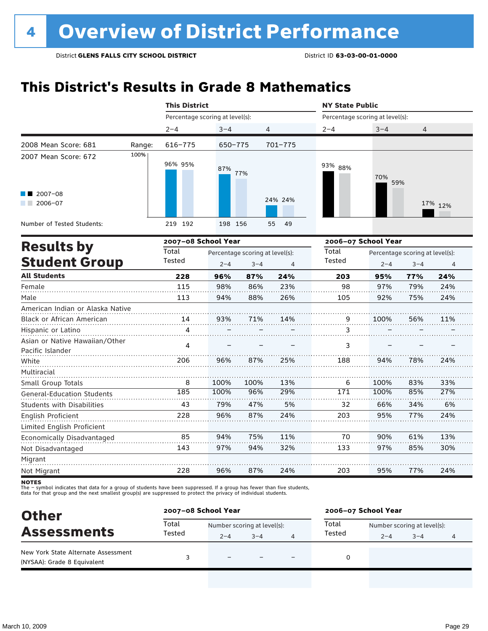### **This District's Results in Grade 8 Mathematics**

|                                                    | <b>This District</b>            |         |                                 |                | <b>NY State Public</b>          |                                 |         |                                                                     |  |  |  |
|----------------------------------------------------|---------------------------------|---------|---------------------------------|----------------|---------------------------------|---------------------------------|---------|---------------------------------------------------------------------|--|--|--|
|                                                    | Percentage scoring at level(s): |         |                                 |                | Percentage scoring at level(s): |                                 |         |                                                                     |  |  |  |
|                                                    | $2 - 4$                         | $3 - 4$ | 4                               |                | 2-4                             | $3 - 4$                         | 4       |                                                                     |  |  |  |
| 2008 Mean Score: 681<br>Range:                     | $616 - 775$                     | 650-775 |                                 | $701 - 775$    |                                 |                                 |         |                                                                     |  |  |  |
| 100%<br>2007 Mean Score: 672                       | 96% 95%                         | 87%     | 77%                             |                | 93% 88%                         | 70%<br>59%                      |         |                                                                     |  |  |  |
| $2007 - 08$<br>2006-07                             |                                 |         |                                 | 24% 24%        |                                 |                                 |         |                                                                     |  |  |  |
| Number of Tested Students:                         | 219 192                         | 198 156 |                                 | 49<br>55       |                                 |                                 |         |                                                                     |  |  |  |
|                                                    | 2007-08 School Year             |         |                                 |                |                                 | 2006-07 School Year             |         | 17% 12%<br>$\overline{4}$<br>24%<br>24%<br>24%<br>11%<br>24%<br>33% |  |  |  |
| <b>Results by</b>                                  | Total                           |         | Percentage scoring at level(s): |                |                                 | Percentage scoring at level(s): |         |                                                                     |  |  |  |
| <b>Student Group</b>                               | Tested                          | $2 - 4$ | $3 - 4$                         | $\overline{4}$ | Tested                          | $2 - 4$                         | $3 - 4$ |                                                                     |  |  |  |
| <b>All Students</b>                                | 228                             | 96%     | 87%                             | 24%            | 203                             | 95%                             | 77%     |                                                                     |  |  |  |
| Female                                             | 115                             | 98%     | 86%                             | 23%            | 98                              | 97%                             | 79%     |                                                                     |  |  |  |
| Male                                               | 113                             | 94%     | 88%                             | 26%            | 105                             | 92%                             | 75%     |                                                                     |  |  |  |
| American Indian or Alaska Native                   |                                 |         |                                 |                |                                 |                                 |         |                                                                     |  |  |  |
| Black or African American                          | 14                              | 93%     | 71%                             | 14%            | 9                               | 100%                            | 56%     |                                                                     |  |  |  |
| Hispanic or Latino                                 | 4                               |         |                                 |                | 3                               |                                 |         |                                                                     |  |  |  |
| Asian or Native Hawaiian/Other<br>Pacific Islander | 4                               |         |                                 |                | 3                               |                                 |         |                                                                     |  |  |  |
| White                                              | 206                             | 96%     | 87%                             | 25%            | 188                             | 94%                             | 78%     |                                                                     |  |  |  |
| Multiracial<br>Small Group Totals                  | 8                               | 100%    | 100%                            | 13%            | 6                               | 100%                            | 83%     |                                                                     |  |  |  |
| <b>General-Education Students</b>                  | 185                             | 100%    | 96%                             | 29%            | 171                             | 100%                            | 85%     | 27%                                                                 |  |  |  |
| <b>Students with Disabilities</b>                  | 43                              | 79%     | 47%                             | 5%             | 32                              | 66%                             | 34%     | 6%                                                                  |  |  |  |
| English Proficient                                 | 228                             | 96%     | 87%                             | 24%            | 203                             | 95%                             | 77%     | 24%                                                                 |  |  |  |
| Limited English Proficient                         |                                 |         |                                 |                |                                 |                                 |         |                                                                     |  |  |  |
| Economically Disadvantaged                         | 85                              | 94%     | 75%                             | 11%            | 70                              | 90%                             | 61%     | 13%                                                                 |  |  |  |
| Not Disadvantaged                                  | 143                             | 97%     | 94%                             | 32%            | 133                             | 97%                             | 85%     | 30%                                                                 |  |  |  |
| Migrant                                            |                                 |         |                                 |                |                                 |                                 |         |                                                                     |  |  |  |
| Not Migrant                                        | 228                             | 96%     | 87%                             | 24%            | 203                             | 95%                             | 77%     | 24%                                                                 |  |  |  |

**NOTES** 

The – symbol indicates that data for a group of students have been suppressed. If a group has fewer than five students,<br>data for that group and the next smallest group(s) are suppressed to protect the privacy of individual

| <b>Other</b><br><b>Assessments</b>                                 | 2007-08 School Year |                             |         |  | 2006-07 School Year |                             |         |   |
|--------------------------------------------------------------------|---------------------|-----------------------------|---------|--|---------------------|-----------------------------|---------|---|
|                                                                    | Total<br>Tested     | Number scoring at level(s): |         |  | Total               | Number scoring at level(s): |         |   |
|                                                                    |                     | $2 - 4$                     | $3 - 4$ |  | Tested              | $2 - 4$                     | $3 - 4$ | 4 |
| New York State Alternate Assessment<br>(NYSAA): Grade 8 Equivalent |                     | -                           |         |  | 0                   |                             |         |   |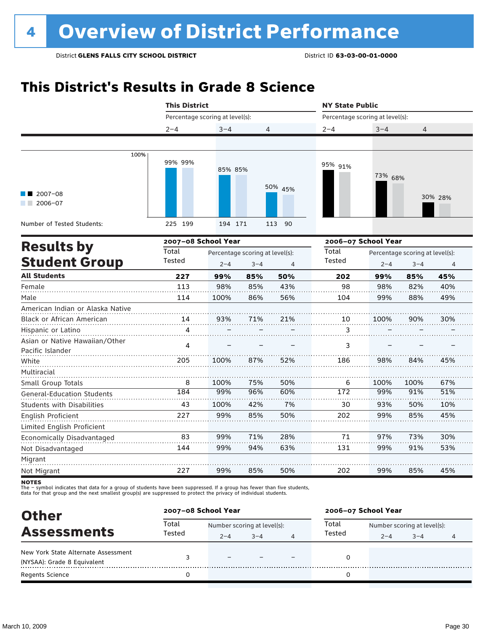### **This District's Results in Grade 8 Science**

|                                                    | <b>This District</b>                                                                                              |                                 |     |           | <b>NY State Public</b> |                                                                                                                                                                                                                                                                                                         |      |     |  |  |  |  |
|----------------------------------------------------|-------------------------------------------------------------------------------------------------------------------|---------------------------------|-----|-----------|------------------------|---------------------------------------------------------------------------------------------------------------------------------------------------------------------------------------------------------------------------------------------------------------------------------------------------------|------|-----|--|--|--|--|
|                                                    |                                                                                                                   | Percentage scoring at level(s): |     |           |                        | Percentage scoring at level(s):<br>$3 - 4$<br>4<br>73% 68%<br>30% 28%<br>2006-07 School Year<br>Percentage scoring at level(s):<br>$2 - 4$<br>$3 - 4$<br>$\overline{4}$<br>45%<br>99%<br>85%<br>98<br>98%<br>82%<br>40%<br>99%<br>88%<br>49%<br>10<br>100%<br>90%<br>30%<br>3<br>3<br>98%<br>84%<br>45% |      |     |  |  |  |  |
|                                                    | $2 - 4$                                                                                                           | $3 - 4$                         | 4   |           | $2 - 4$                |                                                                                                                                                                                                                                                                                                         |      |     |  |  |  |  |
|                                                    |                                                                                                                   |                                 |     |           |                        |                                                                                                                                                                                                                                                                                                         |      |     |  |  |  |  |
| 100%<br>$2007 - 08$<br>$2006 - 07$<br>and the con- | 99% 99%                                                                                                           | 85% 85%                         |     | 50% 45%   | 95% 91%                |                                                                                                                                                                                                                                                                                                         |      |     |  |  |  |  |
| Number of Tested Students:                         | 225 199                                                                                                           | 194 171                         |     | 90<br>113 |                        |                                                                                                                                                                                                                                                                                                         |      |     |  |  |  |  |
|                                                    |                                                                                                                   |                                 |     |           |                        |                                                                                                                                                                                                                                                                                                         |      |     |  |  |  |  |
| <b>Results by</b><br><b>Student Group</b>          | 2007-08 School Year<br>Total<br>Percentage scoring at level(s):<br>Tested<br>$2 - 4$<br>$3 - 4$<br>$\overline{4}$ |                                 |     |           | Total<br>Tested        |                                                                                                                                                                                                                                                                                                         |      |     |  |  |  |  |
| <b>All Students</b>                                | 227                                                                                                               | 99%                             | 85% | 50%       | 202                    |                                                                                                                                                                                                                                                                                                         |      |     |  |  |  |  |
| Female                                             | 113                                                                                                               | 98%                             | 85% | 43%       |                        |                                                                                                                                                                                                                                                                                                         |      |     |  |  |  |  |
| Male                                               | 114                                                                                                               | 100%                            | 86% | 56%       | 104                    |                                                                                                                                                                                                                                                                                                         |      |     |  |  |  |  |
| American Indian or Alaska Native                   |                                                                                                                   |                                 |     |           |                        |                                                                                                                                                                                                                                                                                                         |      |     |  |  |  |  |
| Black or African American                          | 14                                                                                                                | 93%                             | 71% | 21%       |                        |                                                                                                                                                                                                                                                                                                         |      |     |  |  |  |  |
| Hispanic or Latino                                 | 4                                                                                                                 |                                 |     |           |                        |                                                                                                                                                                                                                                                                                                         |      |     |  |  |  |  |
| Asian or Native Hawaiian/Other<br>Pacific Islander | 4                                                                                                                 |                                 |     |           |                        |                                                                                                                                                                                                                                                                                                         |      |     |  |  |  |  |
| White                                              | 205                                                                                                               | 100%                            | 87% | 52%       | 186                    |                                                                                                                                                                                                                                                                                                         |      |     |  |  |  |  |
| Multiracial                                        |                                                                                                                   |                                 |     |           |                        |                                                                                                                                                                                                                                                                                                         |      |     |  |  |  |  |
| Small Group Totals                                 | 8                                                                                                                 | 100%                            | 75% | 50%       | 6                      | 100%                                                                                                                                                                                                                                                                                                    | 100% | 67% |  |  |  |  |
| <b>General-Education Students</b>                  | 184                                                                                                               | 99%                             | 96% | 60%       | 172                    | 99%                                                                                                                                                                                                                                                                                                     | 91%  | 51% |  |  |  |  |
| Students with Disabilities                         | 43                                                                                                                | 100%                            | 42% | 7%        | 30                     | 93%                                                                                                                                                                                                                                                                                                     | 50%  | 10% |  |  |  |  |
| English Proficient                                 | 227                                                                                                               | 99%                             | 85% | 50%       | 202                    | 99%                                                                                                                                                                                                                                                                                                     | 85%  | 45% |  |  |  |  |
| Limited English Proficient                         |                                                                                                                   |                                 |     |           |                        |                                                                                                                                                                                                                                                                                                         |      |     |  |  |  |  |
| Economically Disadvantaged                         | 83                                                                                                                | 99%                             | 71% | 28%       | 71                     | 97%                                                                                                                                                                                                                                                                                                     | 73%  | 30% |  |  |  |  |
| Not Disadvantaged                                  | 144                                                                                                               | 99%                             | 94% | 63%       | 131                    | 99%                                                                                                                                                                                                                                                                                                     | 91%  | 53% |  |  |  |  |
| Migrant<br>Not Migrant                             | 227                                                                                                               | 99%                             | 85% | 50%       | 202                    | 99%                                                                                                                                                                                                                                                                                                     | 85%  | 45% |  |  |  |  |

The – symbot muicates that data for a group of students have been suppressed. In a group has fewer than five<br>data for that group and the next smallest group(s) are suppressed to protect the privacy of individual students.

| <b>Other</b><br><b>Assessments</b>  | 2007-08 School Year |                             |         |   | 2006-07 School Year |                             |         |   |  |
|-------------------------------------|---------------------|-----------------------------|---------|---|---------------------|-----------------------------|---------|---|--|
|                                     | Total<br>Tested     | Number scoring at level(s): |         |   | Total               | Number scoring at level(s): |         |   |  |
|                                     |                     | $2 - 4$                     | $3 - 4$ | 4 | Tested              | $2 - 4$                     | $3 - 4$ | 4 |  |
| New York State Alternate Assessment |                     | $\equiv$                    |         |   |                     |                             |         |   |  |
| (NYSAA): Grade 8 Equivalent         |                     |                             |         |   |                     |                             |         |   |  |
| <b>Regents Science</b>              |                     |                             |         |   |                     |                             |         |   |  |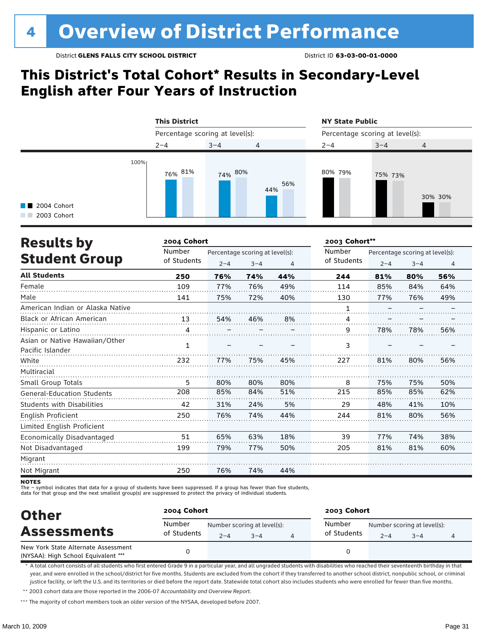### **This District's Total Cohort\* Results in Secondary-Level English after Four Years of Instruction**



| <b>Results by</b>                 | 2004 Cohort |                                 |         |     |             | 2003 Cohort** |                                 |     |  |
|-----------------------------------|-------------|---------------------------------|---------|-----|-------------|---------------|---------------------------------|-----|--|
|                                   | Number      | Percentage scoring at level(s): |         |     | Number      |               | Percentage scoring at level(s): |     |  |
| <b>Student Group</b>              | of Students | $2 - 4$                         | $3 - 4$ | 4   | of Students | $2 - 4$       | $3 - 4$                         | 4   |  |
| <b>All Students</b>               | 250         | 76%                             | 74%     | 44% | 244         | 81%           | 80%                             | 56% |  |
| Female                            | 109         | 77%                             | 76%     | 49% | 114         | 85%           | 84%                             | 64% |  |
| Male                              | 141         | 75%                             | 72%     | 40% | 130         | 77%           | 76%                             | 49% |  |
| American Indian or Alaska Native  |             |                                 |         |     | 1           |               |                                 |     |  |
| Black or African American         | 13          | 54%                             | 46%     | 8%  | 4           |               |                                 |     |  |
| Hispanic or Latino                | 4           |                                 |         |     | 9           | 78%           | 78%                             | 56% |  |
| Asian or Native Hawaiian/Other    |             |                                 |         |     |             |               |                                 |     |  |
| Pacific Islander                  | 1           |                                 |         |     | 3           |               |                                 |     |  |
| White                             | 232         | 77%                             | 75%     | 45% | 227         | 81%           | 80%                             | 56% |  |
| Multiracial                       |             |                                 |         |     |             |               |                                 |     |  |
| Small Group Totals                | 5           | 80%                             | 80%     | 80% | 8           | 75%           | 75%                             | 50% |  |
| <b>General-Education Students</b> | 208         | 85%                             | 84%     | 51% | 215         | 85%           | 85%                             | 62% |  |
| <b>Students with Disabilities</b> | 42          | 31%                             | 24%     | 5%  | 29          | 48%           | 41%                             | 10% |  |
| English Proficient                | 250         | 76%                             | 74%     | 44% | 244         | 81%           | 80%                             | 56% |  |
| Limited English Proficient        |             |                                 |         |     |             |               |                                 |     |  |
| Economically Disadvantaged        | 51          | 65%                             | 63%     | 18% | 39          | 77%           | 74%                             | 38% |  |
| Not Disadvantaged                 | 199         | 79%                             | 77%     | 50% | 205         | 81%           | 81%                             | 60% |  |
| Migrant                           |             |                                 |         |     |             |               |                                 |     |  |
| Not Migrant                       | 250         | 76%                             | 74%     | 44% |             |               |                                 |     |  |

**NOTES** 

- symbol indicates that data for a group of students have been suppressed. If a group has fewer than five students,

data for that group and the next smallest group(s) are suppressed to protect the privacy of individual students.

| <b>Other</b>                                                               | 2004 Cohort           |         |                                        | 2003 Cohort           |         |                                        |   |  |
|----------------------------------------------------------------------------|-----------------------|---------|----------------------------------------|-----------------------|---------|----------------------------------------|---|--|
| <b>Assessments</b>                                                         | Number<br>of Students | $2 - 4$ | Number scoring at level(s):<br>$3 - 4$ | Number<br>of Students | $2 - 4$ | Number scoring at level(s):<br>$3 - 4$ | 4 |  |
| New York State Alternate Assessment<br>(NYSAA): High School Equivalent *** |                       |         |                                        |                       |         |                                        |   |  |

\* A total cohort consists of all students who first entered Grade 9 in a particular year, and all ungraded students with disabilities who reached their seventeenth birthday in that year, and were enrolled in the school/district for five months. Students are excluded from the cohort if they transferred to another school district, nonpublic school, or criminal justice facility, or left the U.S. and its territories or died before the report date. Statewide total cohort also includes students who were enrolled for fewer than five months.

\*\* 2003 cohort data are those reported in the 2006-07 *Accountability and Overview Report*.

\*\*\* The majority of cohort members took an older version of the NYSAA, developed before 2007.